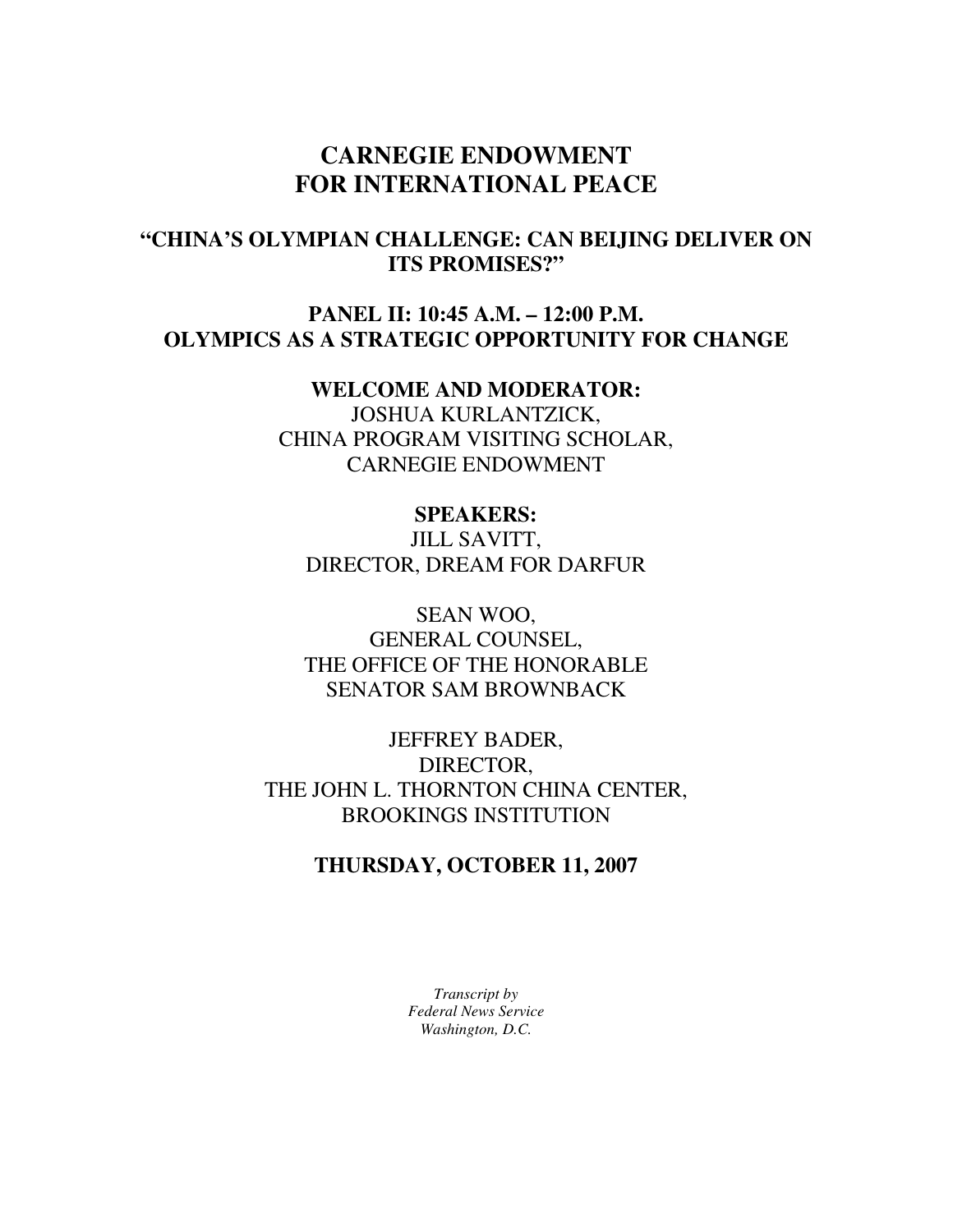# **CARNEGIE ENDOWMENT FOR INTERNATIONAL PEACE**

# **"CHINA'S OLYMPIAN CHALLENGE: CAN BEIJING DELIVER ON ITS PROMISES?"**

## **PANEL II: 10:45 A.M. – 12:00 P.M. OLYMPICS AS A STRATEGIC OPPORTUNITY FOR CHANGE**

**WELCOME AND MODERATOR:**  JOSHUA KURLANTZICK, CHINA PROGRAM VISITING SCHOLAR, CARNEGIE ENDOWMENT

### **SPEAKERS:**

JILL SAVITT, DIRECTOR, DREAM FOR DARFUR

SEAN WOO, GENERAL COUNSEL, THE OFFICE OF THE HONORABLE SENATOR SAM BROWNBACK

JEFFREY BADER, DIRECTOR, THE JOHN L. THORNTON CHINA CENTER, BROOKINGS INSTITUTION

### **THURSDAY, OCTOBER 11, 2007**

*Transcript by Federal News Service Washington, D.C.*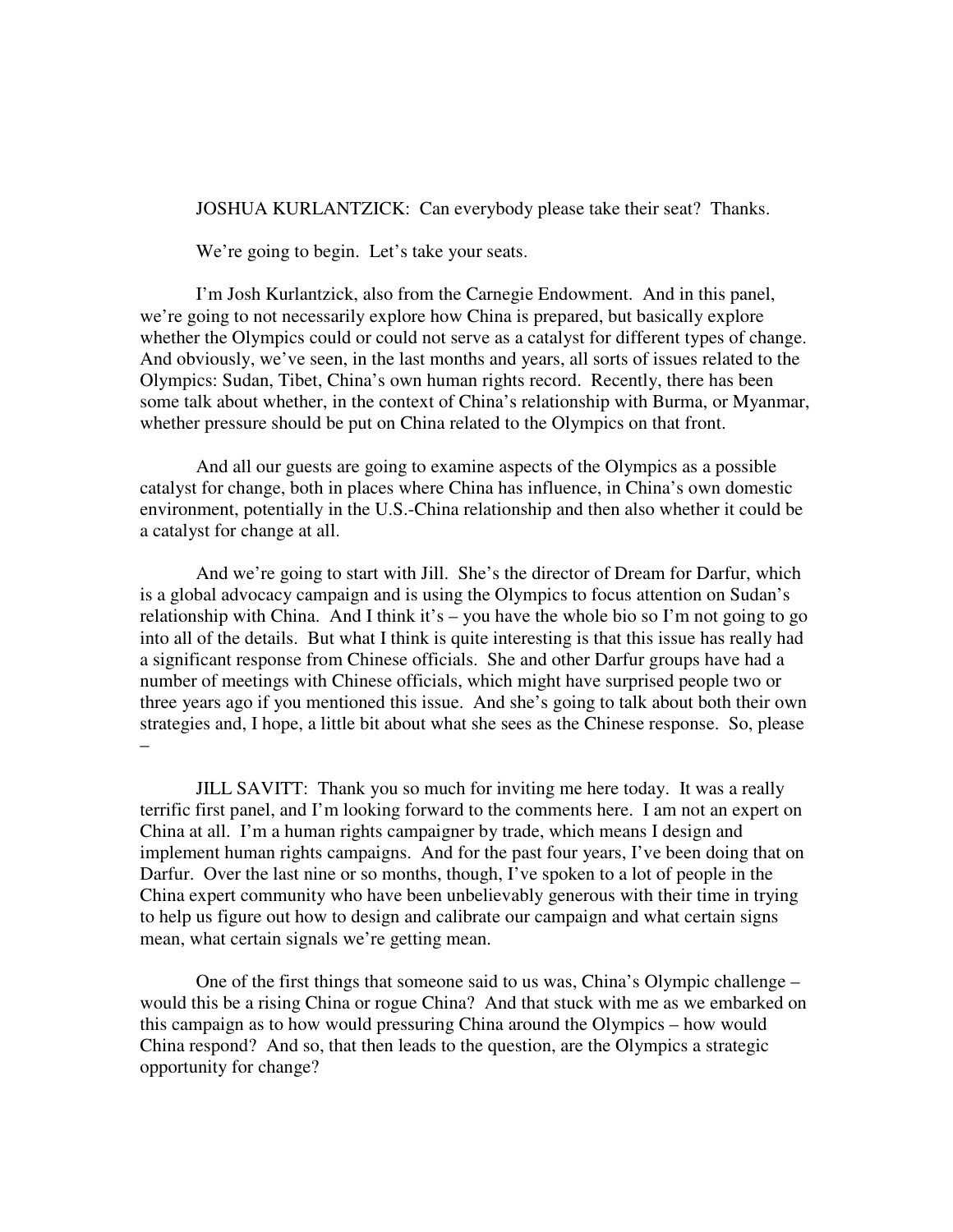JOSHUA KURLANTZICK: Can everybody please take their seat? Thanks.

We're going to begin. Let's take your seats.

 I'm Josh Kurlantzick, also from the Carnegie Endowment. And in this panel, we're going to not necessarily explore how China is prepared, but basically explore whether the Olympics could or could not serve as a catalyst for different types of change. And obviously, we've seen, in the last months and years, all sorts of issues related to the Olympics: Sudan, Tibet, China's own human rights record. Recently, there has been some talk about whether, in the context of China's relationship with Burma, or Myanmar, whether pressure should be put on China related to the Olympics on that front.

 And all our guests are going to examine aspects of the Olympics as a possible catalyst for change, both in places where China has influence, in China's own domestic environment, potentially in the U.S.-China relationship and then also whether it could be a catalyst for change at all.

 And we're going to start with Jill. She's the director of Dream for Darfur, which is a global advocacy campaign and is using the Olympics to focus attention on Sudan's relationship with China. And I think it's – you have the whole bio so I'm not going to go into all of the details. But what I think is quite interesting is that this issue has really had a significant response from Chinese officials. She and other Darfur groups have had a number of meetings with Chinese officials, which might have surprised people two or three years ago if you mentioned this issue. And she's going to talk about both their own strategies and, I hope, a little bit about what she sees as the Chinese response. So, please –

JILL SAVITT: Thank you so much for inviting me here today. It was a really terrific first panel, and I'm looking forward to the comments here. I am not an expert on China at all. I'm a human rights campaigner by trade, which means I design and implement human rights campaigns. And for the past four years, I've been doing that on Darfur. Over the last nine or so months, though, I've spoken to a lot of people in the China expert community who have been unbelievably generous with their time in trying to help us figure out how to design and calibrate our campaign and what certain signs mean, what certain signals we're getting mean.

One of the first things that someone said to us was, China's Olympic challenge – would this be a rising China or rogue China? And that stuck with me as we embarked on this campaign as to how would pressuring China around the Olympics – how would China respond? And so, that then leads to the question, are the Olympics a strategic opportunity for change?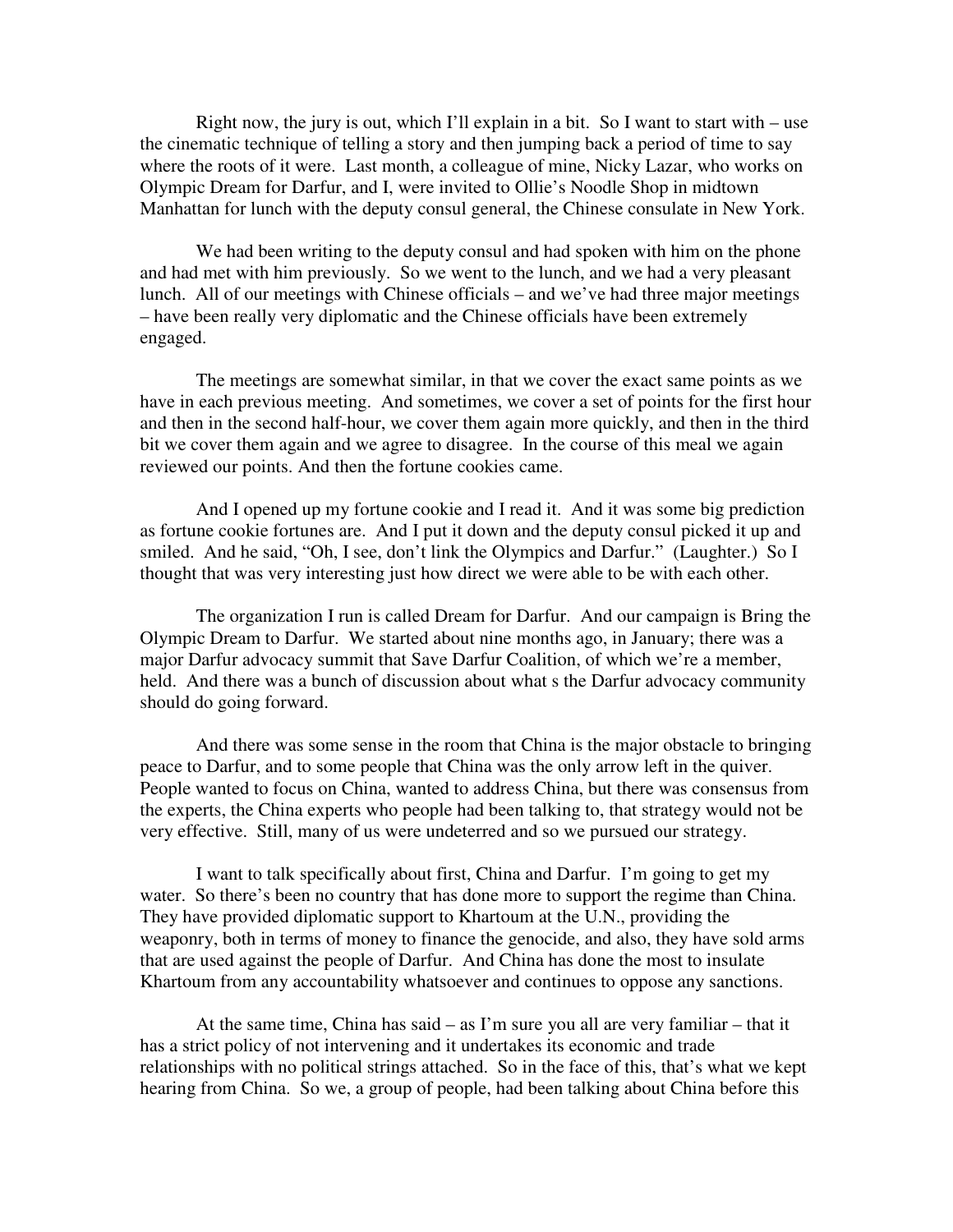Right now, the jury is out, which I'll explain in a bit. So I want to start with  $-$  use the cinematic technique of telling a story and then jumping back a period of time to say where the roots of it were. Last month, a colleague of mine, Nicky Lazar, who works on Olympic Dream for Darfur, and I, were invited to Ollie's Noodle Shop in midtown Manhattan for lunch with the deputy consul general, the Chinese consulate in New York.

We had been writing to the deputy consul and had spoken with him on the phone and had met with him previously. So we went to the lunch, and we had a very pleasant lunch. All of our meetings with Chinese officials – and we've had three major meetings – have been really very diplomatic and the Chinese officials have been extremely engaged.

The meetings are somewhat similar, in that we cover the exact same points as we have in each previous meeting. And sometimes, we cover a set of points for the first hour and then in the second half-hour, we cover them again more quickly, and then in the third bit we cover them again and we agree to disagree. In the course of this meal we again reviewed our points. And then the fortune cookies came.

And I opened up my fortune cookie and I read it. And it was some big prediction as fortune cookie fortunes are. And I put it down and the deputy consul picked it up and smiled. And he said, "Oh, I see, don't link the Olympics and Darfur." (Laughter.) So I thought that was very interesting just how direct we were able to be with each other.

The organization I run is called Dream for Darfur. And our campaign is Bring the Olympic Dream to Darfur. We started about nine months ago, in January; there was a major Darfur advocacy summit that Save Darfur Coalition, of which we're a member, held. And there was a bunch of discussion about what s the Darfur advocacy community should do going forward.

And there was some sense in the room that China is the major obstacle to bringing peace to Darfur, and to some people that China was the only arrow left in the quiver. People wanted to focus on China, wanted to address China, but there was consensus from the experts, the China experts who people had been talking to, that strategy would not be very effective. Still, many of us were undeterred and so we pursued our strategy.

I want to talk specifically about first, China and Darfur. I'm going to get my water. So there's been no country that has done more to support the regime than China. They have provided diplomatic support to Khartoum at the U.N., providing the weaponry, both in terms of money to finance the genocide, and also, they have sold arms that are used against the people of Darfur. And China has done the most to insulate Khartoum from any accountability whatsoever and continues to oppose any sanctions.

At the same time, China has said  $-$  as I'm sure you all are very familiar  $-$  that it has a strict policy of not intervening and it undertakes its economic and trade relationships with no political strings attached. So in the face of this, that's what we kept hearing from China. So we, a group of people, had been talking about China before this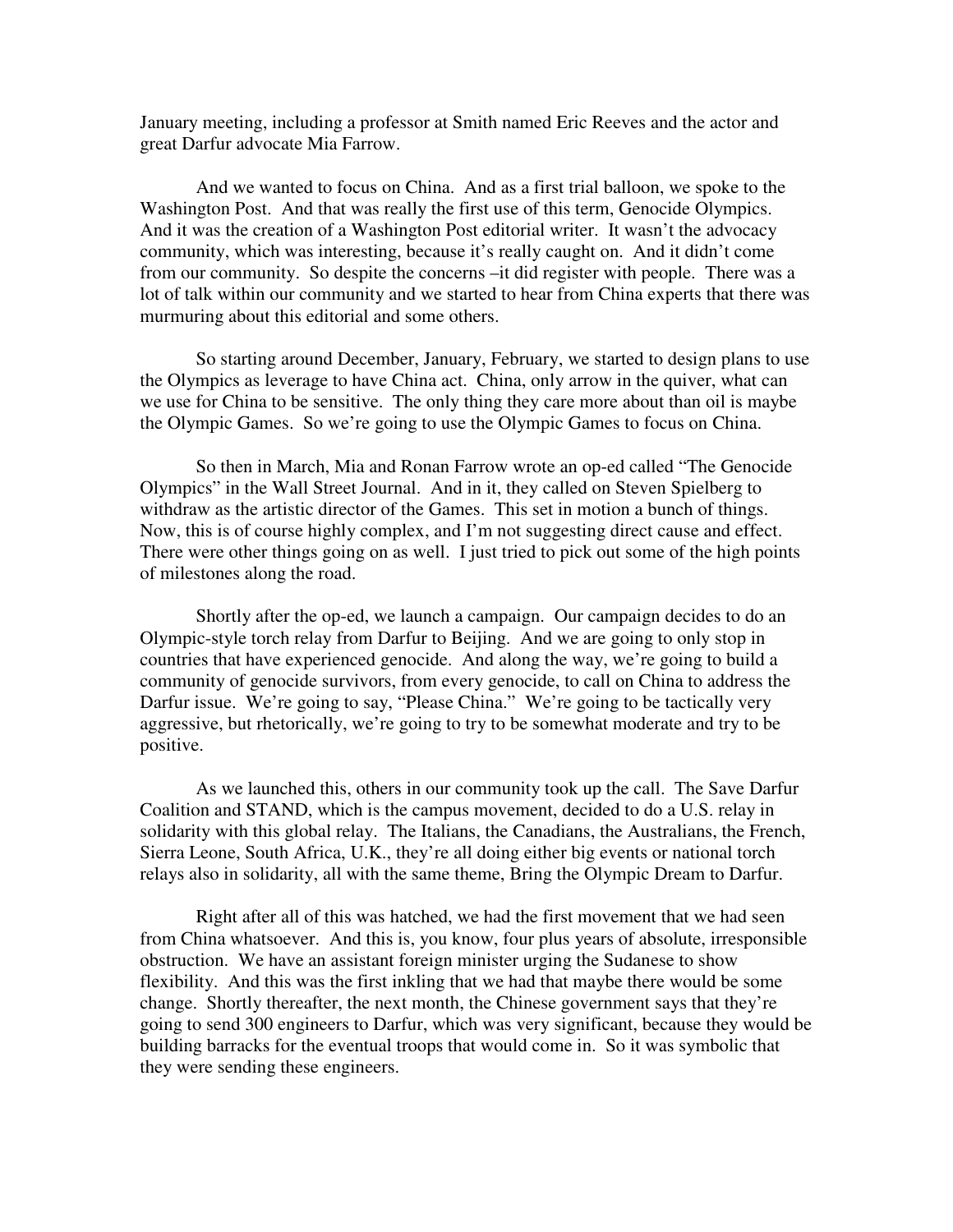January meeting, including a professor at Smith named Eric Reeves and the actor and great Darfur advocate Mia Farrow.

And we wanted to focus on China. And as a first trial balloon, we spoke to the Washington Post. And that was really the first use of this term, Genocide Olympics. And it was the creation of a Washington Post editorial writer. It wasn't the advocacy community, which was interesting, because it's really caught on. And it didn't come from our community. So despite the concerns –it did register with people. There was a lot of talk within our community and we started to hear from China experts that there was murmuring about this editorial and some others.

So starting around December, January, February, we started to design plans to use the Olympics as leverage to have China act. China, only arrow in the quiver, what can we use for China to be sensitive. The only thing they care more about than oil is maybe the Olympic Games. So we're going to use the Olympic Games to focus on China.

So then in March, Mia and Ronan Farrow wrote an op-ed called "The Genocide Olympics" in the Wall Street Journal. And in it, they called on Steven Spielberg to withdraw as the artistic director of the Games. This set in motion a bunch of things. Now, this is of course highly complex, and I'm not suggesting direct cause and effect. There were other things going on as well. I just tried to pick out some of the high points of milestones along the road.

Shortly after the op-ed, we launch a campaign. Our campaign decides to do an Olympic-style torch relay from Darfur to Beijing. And we are going to only stop in countries that have experienced genocide. And along the way, we're going to build a community of genocide survivors, from every genocide, to call on China to address the Darfur issue. We're going to say, "Please China." We're going to be tactically very aggressive, but rhetorically, we're going to try to be somewhat moderate and try to be positive.

As we launched this, others in our community took up the call. The Save Darfur Coalition and STAND, which is the campus movement, decided to do a U.S. relay in solidarity with this global relay. The Italians, the Canadians, the Australians, the French, Sierra Leone, South Africa, U.K., they're all doing either big events or national torch relays also in solidarity, all with the same theme, Bring the Olympic Dream to Darfur.

Right after all of this was hatched, we had the first movement that we had seen from China whatsoever. And this is, you know, four plus years of absolute, irresponsible obstruction. We have an assistant foreign minister urging the Sudanese to show flexibility. And this was the first inkling that we had that maybe there would be some change. Shortly thereafter, the next month, the Chinese government says that they're going to send 300 engineers to Darfur, which was very significant, because they would be building barracks for the eventual troops that would come in. So it was symbolic that they were sending these engineers.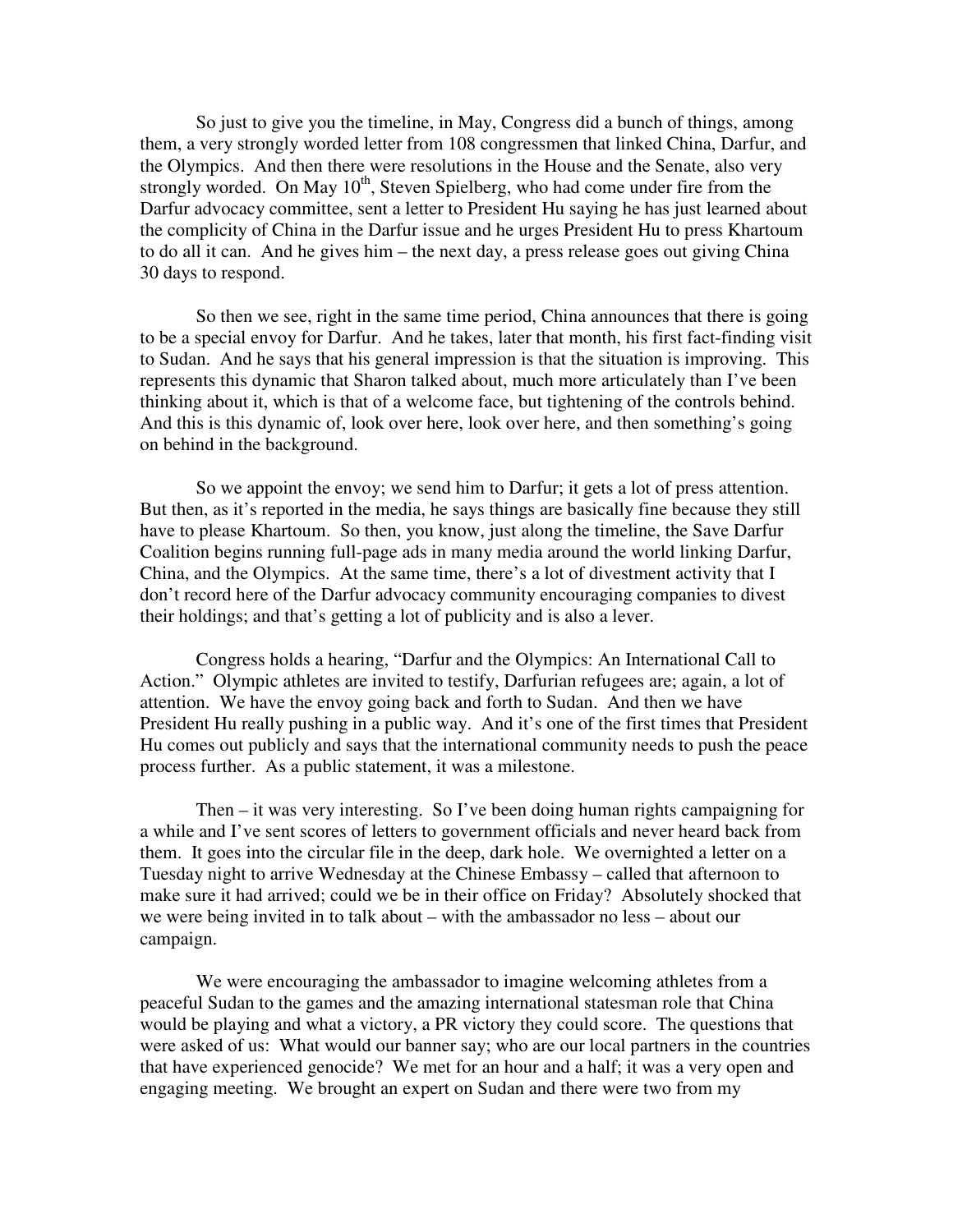So just to give you the timeline, in May, Congress did a bunch of things, among them, a very strongly worded letter from 108 congressmen that linked China, Darfur, and the Olympics. And then there were resolutions in the House and the Senate, also very strongly worded. On May  $10^{th}$ , Steven Spielberg, who had come under fire from the Darfur advocacy committee, sent a letter to President Hu saying he has just learned about the complicity of China in the Darfur issue and he urges President Hu to press Khartoum to do all it can. And he gives him – the next day, a press release goes out giving China 30 days to respond.

So then we see, right in the same time period, China announces that there is going to be a special envoy for Darfur. And he takes, later that month, his first fact-finding visit to Sudan. And he says that his general impression is that the situation is improving. This represents this dynamic that Sharon talked about, much more articulately than I've been thinking about it, which is that of a welcome face, but tightening of the controls behind. And this is this dynamic of, look over here, look over here, and then something's going on behind in the background.

So we appoint the envoy; we send him to Darfur; it gets a lot of press attention. But then, as it's reported in the media, he says things are basically fine because they still have to please Khartoum. So then, you know, just along the timeline, the Save Darfur Coalition begins running full-page ads in many media around the world linking Darfur, China, and the Olympics. At the same time, there's a lot of divestment activity that I don't record here of the Darfur advocacy community encouraging companies to divest their holdings; and that's getting a lot of publicity and is also a lever.

Congress holds a hearing, "Darfur and the Olympics: An International Call to Action." Olympic athletes are invited to testify, Darfurian refugees are; again, a lot of attention. We have the envoy going back and forth to Sudan. And then we have President Hu really pushing in a public way. And it's one of the first times that President Hu comes out publicly and says that the international community needs to push the peace process further. As a public statement, it was a milestone.

Then – it was very interesting. So I've been doing human rights campaigning for a while and I've sent scores of letters to government officials and never heard back from them. It goes into the circular file in the deep, dark hole. We overnighted a letter on a Tuesday night to arrive Wednesday at the Chinese Embassy – called that afternoon to make sure it had arrived; could we be in their office on Friday? Absolutely shocked that we were being invited in to talk about – with the ambassador no less – about our campaign.

We were encouraging the ambassador to imagine welcoming athletes from a peaceful Sudan to the games and the amazing international statesman role that China would be playing and what a victory, a PR victory they could score. The questions that were asked of us: What would our banner say; who are our local partners in the countries that have experienced genocide? We met for an hour and a half; it was a very open and engaging meeting. We brought an expert on Sudan and there were two from my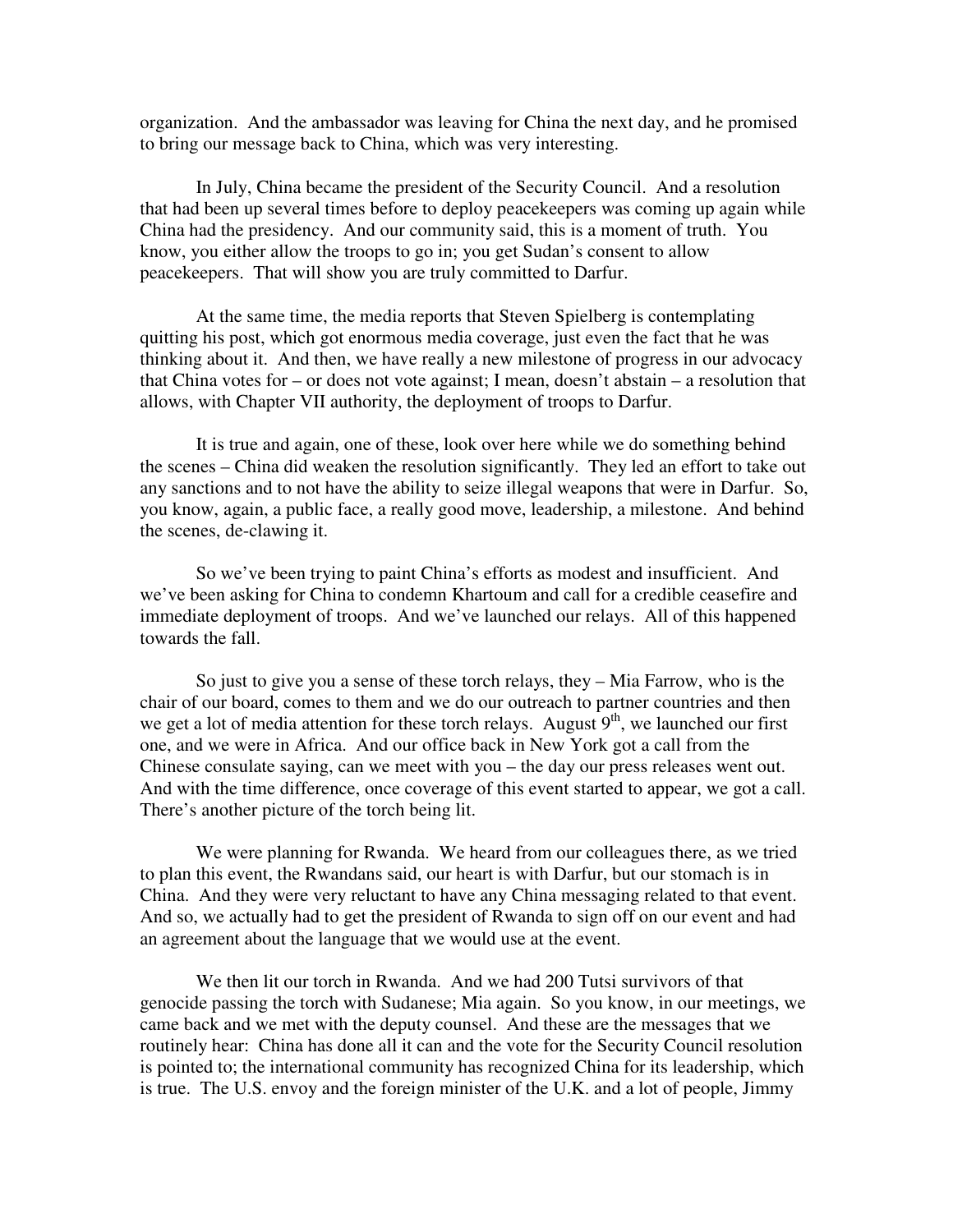organization. And the ambassador was leaving for China the next day, and he promised to bring our message back to China, which was very interesting.

In July, China became the president of the Security Council. And a resolution that had been up several times before to deploy peacekeepers was coming up again while China had the presidency. And our community said, this is a moment of truth. You know, you either allow the troops to go in; you get Sudan's consent to allow peacekeepers. That will show you are truly committed to Darfur.

At the same time, the media reports that Steven Spielberg is contemplating quitting his post, which got enormous media coverage, just even the fact that he was thinking about it. And then, we have really a new milestone of progress in our advocacy that China votes for – or does not vote against; I mean, doesn't abstain – a resolution that allows, with Chapter VII authority, the deployment of troops to Darfur.

It is true and again, one of these, look over here while we do something behind the scenes – China did weaken the resolution significantly. They led an effort to take out any sanctions and to not have the ability to seize illegal weapons that were in Darfur. So, you know, again, a public face, a really good move, leadership, a milestone. And behind the scenes, de-clawing it.

So we've been trying to paint China's efforts as modest and insufficient. And we've been asking for China to condemn Khartoum and call for a credible ceasefire and immediate deployment of troops. And we've launched our relays. All of this happened towards the fall.

So just to give you a sense of these torch relays, they – Mia Farrow, who is the chair of our board, comes to them and we do our outreach to partner countries and then we get a lot of media attention for these torch relays. August  $9<sup>th</sup>$ , we launched our first one, and we were in Africa. And our office back in New York got a call from the Chinese consulate saying, can we meet with you – the day our press releases went out. And with the time difference, once coverage of this event started to appear, we got a call. There's another picture of the torch being lit.

We were planning for Rwanda. We heard from our colleagues there, as we tried to plan this event, the Rwandans said, our heart is with Darfur, but our stomach is in China. And they were very reluctant to have any China messaging related to that event. And so, we actually had to get the president of Rwanda to sign off on our event and had an agreement about the language that we would use at the event.

We then lit our torch in Rwanda. And we had 200 Tutsi survivors of that genocide passing the torch with Sudanese; Mia again. So you know, in our meetings, we came back and we met with the deputy counsel. And these are the messages that we routinely hear: China has done all it can and the vote for the Security Council resolution is pointed to; the international community has recognized China for its leadership, which is true. The U.S. envoy and the foreign minister of the U.K. and a lot of people, Jimmy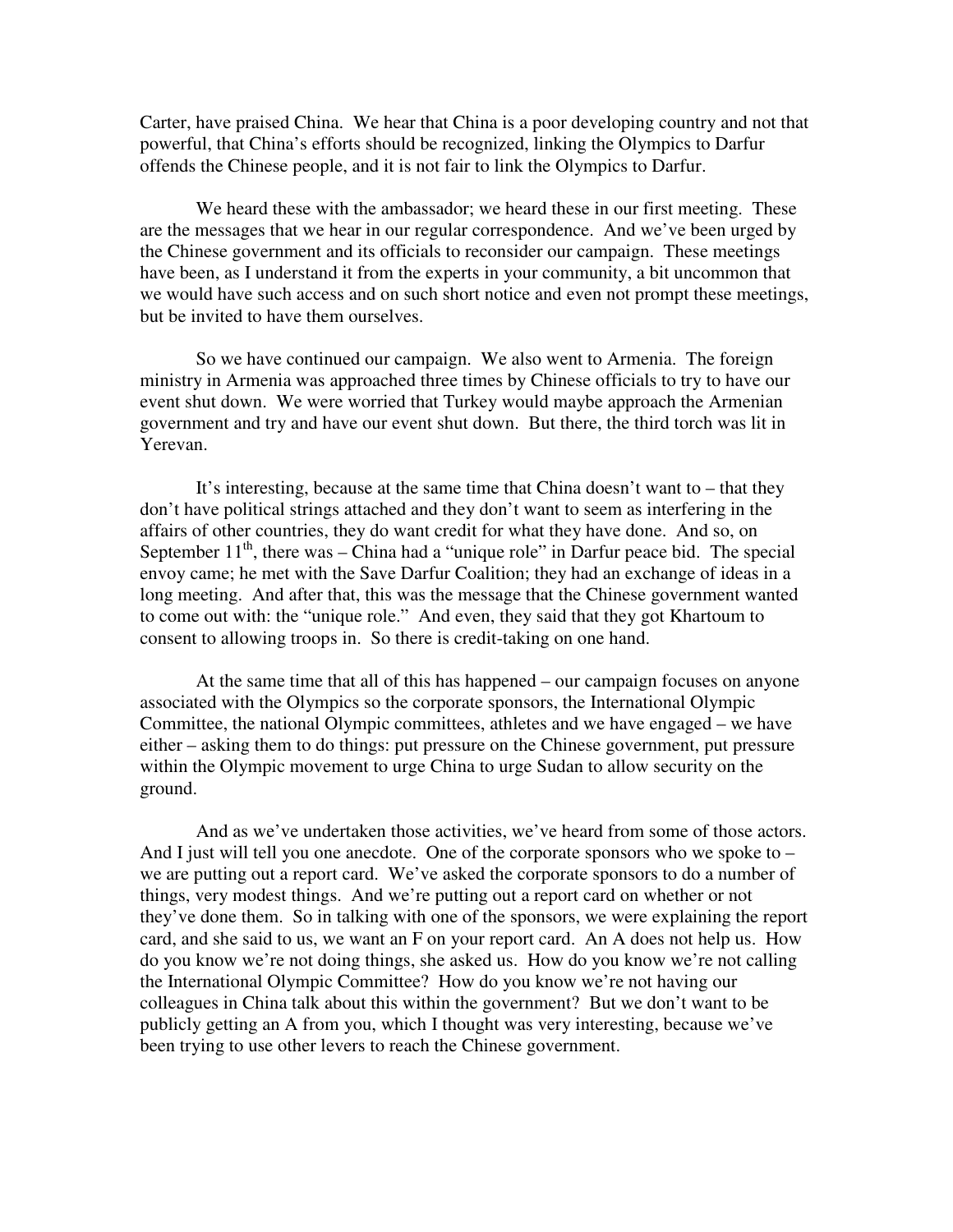Carter, have praised China. We hear that China is a poor developing country and not that powerful, that China's efforts should be recognized, linking the Olympics to Darfur offends the Chinese people, and it is not fair to link the Olympics to Darfur.

We heard these with the ambassador; we heard these in our first meeting. These are the messages that we hear in our regular correspondence. And we've been urged by the Chinese government and its officials to reconsider our campaign. These meetings have been, as I understand it from the experts in your community, a bit uncommon that we would have such access and on such short notice and even not prompt these meetings, but be invited to have them ourselves.

So we have continued our campaign. We also went to Armenia. The foreign ministry in Armenia was approached three times by Chinese officials to try to have our event shut down. We were worried that Turkey would maybe approach the Armenian government and try and have our event shut down. But there, the third torch was lit in Yerevan.

It's interesting, because at the same time that China doesn't want to – that they don't have political strings attached and they don't want to seem as interfering in the affairs of other countries, they do want credit for what they have done. And so, on September  $11<sup>th</sup>$ , there was – China had a "unique role" in Darfur peace bid. The special envoy came; he met with the Save Darfur Coalition; they had an exchange of ideas in a long meeting. And after that, this was the message that the Chinese government wanted to come out with: the "unique role." And even, they said that they got Khartoum to consent to allowing troops in. So there is credit-taking on one hand.

At the same time that all of this has happened – our campaign focuses on anyone associated with the Olympics so the corporate sponsors, the International Olympic Committee, the national Olympic committees, athletes and we have engaged – we have either – asking them to do things: put pressure on the Chinese government, put pressure within the Olympic movement to urge China to urge Sudan to allow security on the ground.

And as we've undertaken those activities, we've heard from some of those actors. And I just will tell you one anecdote. One of the corporate sponsors who we spoke to – we are putting out a report card. We've asked the corporate sponsors to do a number of things, very modest things. And we're putting out a report card on whether or not they've done them. So in talking with one of the sponsors, we were explaining the report card, and she said to us, we want an F on your report card. An A does not help us. How do you know we're not doing things, she asked us. How do you know we're not calling the International Olympic Committee? How do you know we're not having our colleagues in China talk about this within the government? But we don't want to be publicly getting an A from you, which I thought was very interesting, because we've been trying to use other levers to reach the Chinese government.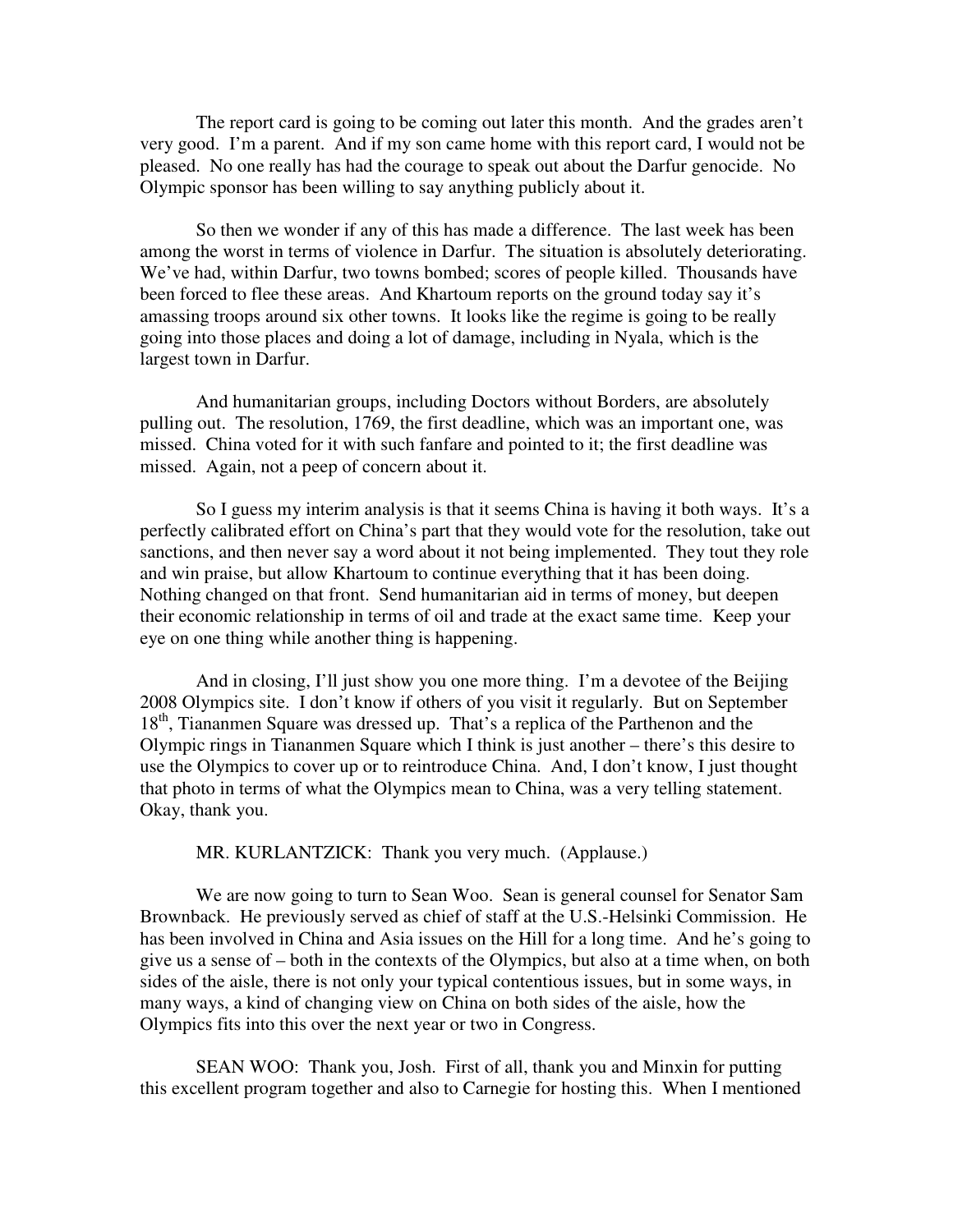The report card is going to be coming out later this month. And the grades aren't very good. I'm a parent. And if my son came home with this report card, I would not be pleased. No one really has had the courage to speak out about the Darfur genocide. No Olympic sponsor has been willing to say anything publicly about it.

So then we wonder if any of this has made a difference. The last week has been among the worst in terms of violence in Darfur. The situation is absolutely deteriorating. We've had, within Darfur, two towns bombed; scores of people killed. Thousands have been forced to flee these areas. And Khartoum reports on the ground today say it's amassing troops around six other towns. It looks like the regime is going to be really going into those places and doing a lot of damage, including in Nyala, which is the largest town in Darfur.

And humanitarian groups, including Doctors without Borders, are absolutely pulling out. The resolution, 1769, the first deadline, which was an important one, was missed. China voted for it with such fanfare and pointed to it; the first deadline was missed. Again, not a peep of concern about it.

So I guess my interim analysis is that it seems China is having it both ways. It's a perfectly calibrated effort on China's part that they would vote for the resolution, take out sanctions, and then never say a word about it not being implemented. They tout they role and win praise, but allow Khartoum to continue everything that it has been doing. Nothing changed on that front. Send humanitarian aid in terms of money, but deepen their economic relationship in terms of oil and trade at the exact same time. Keep your eye on one thing while another thing is happening.

And in closing, I'll just show you one more thing. I'm a devotee of the Beijing 2008 Olympics site. I don't know if others of you visit it regularly. But on September 18<sup>th</sup>, Tiananmen Square was dressed up. That's a replica of the Parthenon and the Olympic rings in Tiananmen Square which I think is just another – there's this desire to use the Olympics to cover up or to reintroduce China. And, I don't know, I just thought that photo in terms of what the Olympics mean to China, was a very telling statement. Okay, thank you.

MR. KURLANTZICK: Thank you very much. (Applause.)

We are now going to turn to Sean Woo. Sean is general counsel for Senator Sam Brownback. He previously served as chief of staff at the U.S.-Helsinki Commission. He has been involved in China and Asia issues on the Hill for a long time. And he's going to give us a sense of – both in the contexts of the Olympics, but also at a time when, on both sides of the aisle, there is not only your typical contentious issues, but in some ways, in many ways, a kind of changing view on China on both sides of the aisle, how the Olympics fits into this over the next year or two in Congress.

SEAN WOO: Thank you, Josh. First of all, thank you and Minxin for putting this excellent program together and also to Carnegie for hosting this. When I mentioned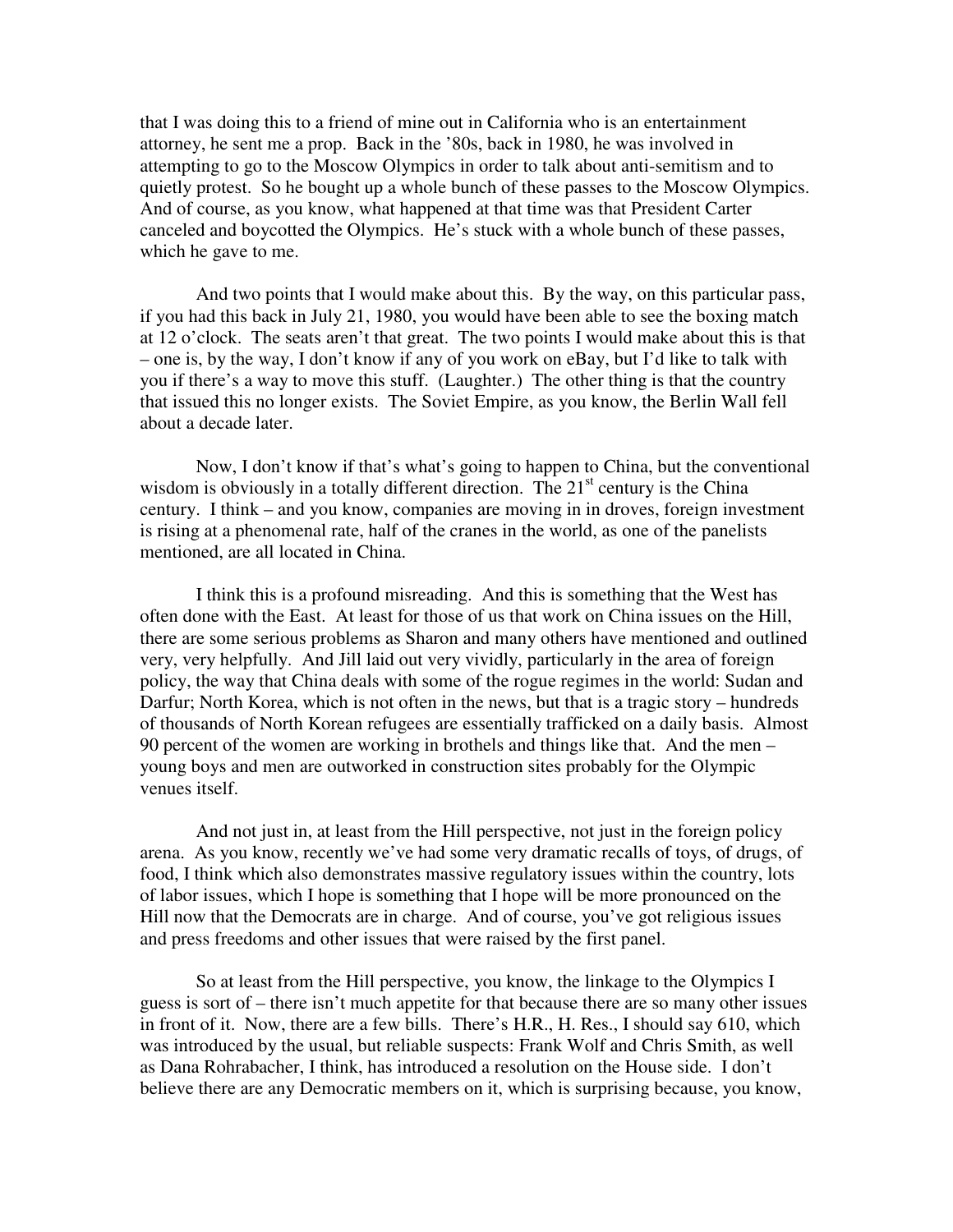that I was doing this to a friend of mine out in California who is an entertainment attorney, he sent me a prop. Back in the '80s, back in 1980, he was involved in attempting to go to the Moscow Olympics in order to talk about anti-semitism and to quietly protest. So he bought up a whole bunch of these passes to the Moscow Olympics. And of course, as you know, what happened at that time was that President Carter canceled and boycotted the Olympics. He's stuck with a whole bunch of these passes, which he gave to me.

And two points that I would make about this. By the way, on this particular pass, if you had this back in July 21, 1980, you would have been able to see the boxing match at 12 o'clock. The seats aren't that great. The two points I would make about this is that – one is, by the way, I don't know if any of you work on eBay, but I'd like to talk with you if there's a way to move this stuff. (Laughter.) The other thing is that the country that issued this no longer exists. The Soviet Empire, as you know, the Berlin Wall fell about a decade later.

Now, I don't know if that's what's going to happen to China, but the conventional wisdom is obviously in a totally different direction. The  $21<sup>st</sup>$  century is the China century. I think – and you know, companies are moving in in droves, foreign investment is rising at a phenomenal rate, half of the cranes in the world, as one of the panelists mentioned, are all located in China.

I think this is a profound misreading. And this is something that the West has often done with the East. At least for those of us that work on China issues on the Hill, there are some serious problems as Sharon and many others have mentioned and outlined very, very helpfully. And Jill laid out very vividly, particularly in the area of foreign policy, the way that China deals with some of the rogue regimes in the world: Sudan and Darfur; North Korea, which is not often in the news, but that is a tragic story – hundreds of thousands of North Korean refugees are essentially trafficked on a daily basis. Almost 90 percent of the women are working in brothels and things like that. And the men – young boys and men are outworked in construction sites probably for the Olympic venues itself.

And not just in, at least from the Hill perspective, not just in the foreign policy arena. As you know, recently we've had some very dramatic recalls of toys, of drugs, of food, I think which also demonstrates massive regulatory issues within the country, lots of labor issues, which I hope is something that I hope will be more pronounced on the Hill now that the Democrats are in charge. And of course, you've got religious issues and press freedoms and other issues that were raised by the first panel.

So at least from the Hill perspective, you know, the linkage to the Olympics I guess is sort of – there isn't much appetite for that because there are so many other issues in front of it. Now, there are a few bills. There's H.R., H. Res., I should say 610, which was introduced by the usual, but reliable suspects: Frank Wolf and Chris Smith, as well as Dana Rohrabacher, I think, has introduced a resolution on the House side. I don't believe there are any Democratic members on it, which is surprising because, you know,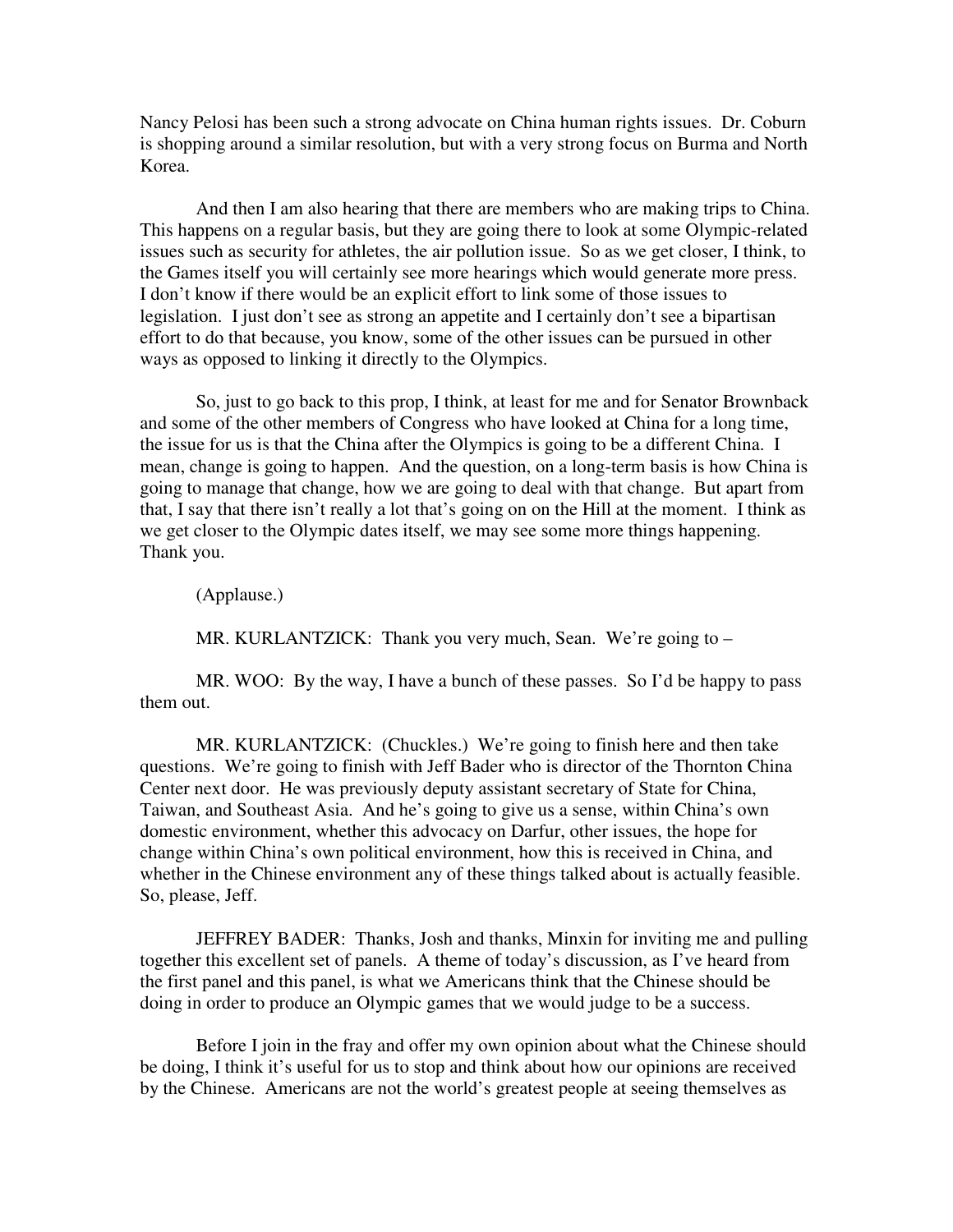Nancy Pelosi has been such a strong advocate on China human rights issues. Dr. Coburn is shopping around a similar resolution, but with a very strong focus on Burma and North Korea.

And then I am also hearing that there are members who are making trips to China. This happens on a regular basis, but they are going there to look at some Olympic-related issues such as security for athletes, the air pollution issue. So as we get closer, I think, to the Games itself you will certainly see more hearings which would generate more press. I don't know if there would be an explicit effort to link some of those issues to legislation. I just don't see as strong an appetite and I certainly don't see a bipartisan effort to do that because, you know, some of the other issues can be pursued in other ways as opposed to linking it directly to the Olympics.

So, just to go back to this prop, I think, at least for me and for Senator Brownback and some of the other members of Congress who have looked at China for a long time, the issue for us is that the China after the Olympics is going to be a different China. I mean, change is going to happen. And the question, on a long-term basis is how China is going to manage that change, how we are going to deal with that change. But apart from that, I say that there isn't really a lot that's going on on the Hill at the moment. I think as we get closer to the Olympic dates itself, we may see some more things happening. Thank you.

(Applause.)

MR. KURLANTZICK: Thank you very much, Sean. We're going to –

MR. WOO: By the way, I have a bunch of these passes. So I'd be happy to pass them out.

MR. KURLANTZICK: (Chuckles.) We're going to finish here and then take questions. We're going to finish with Jeff Bader who is director of the Thornton China Center next door. He was previously deputy assistant secretary of State for China, Taiwan, and Southeast Asia. And he's going to give us a sense, within China's own domestic environment, whether this advocacy on Darfur, other issues, the hope for change within China's own political environment, how this is received in China, and whether in the Chinese environment any of these things talked about is actually feasible. So, please, Jeff.

JEFFREY BADER: Thanks, Josh and thanks, Minxin for inviting me and pulling together this excellent set of panels. A theme of today's discussion, as I've heard from the first panel and this panel, is what we Americans think that the Chinese should be doing in order to produce an Olympic games that we would judge to be a success.

Before I join in the fray and offer my own opinion about what the Chinese should be doing, I think it's useful for us to stop and think about how our opinions are received by the Chinese. Americans are not the world's greatest people at seeing themselves as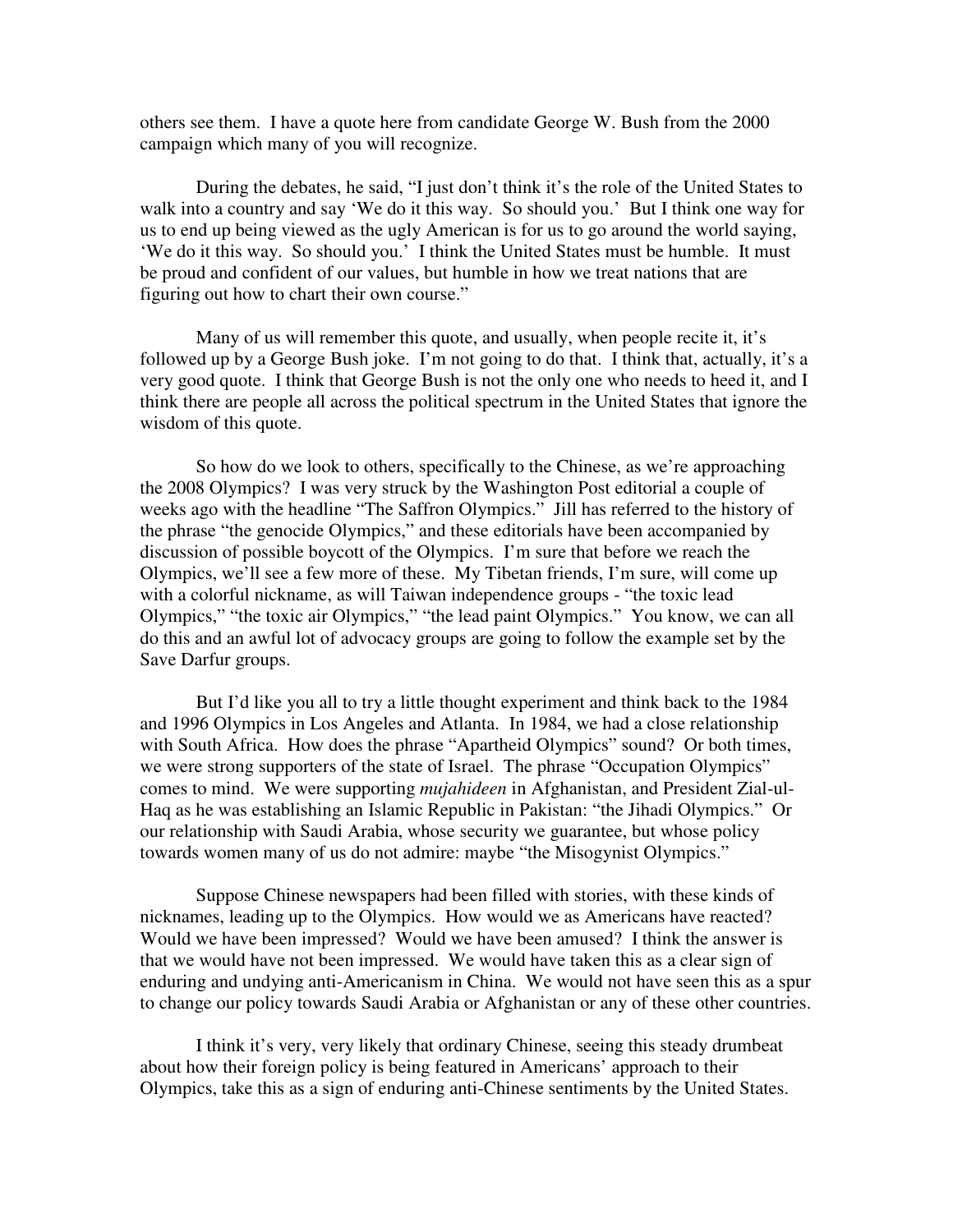others see them. I have a quote here from candidate George W. Bush from the 2000 campaign which many of you will recognize.

During the debates, he said, "I just don't think it's the role of the United States to walk into a country and say 'We do it this way. So should you.' But I think one way for us to end up being viewed as the ugly American is for us to go around the world saying, 'We do it this way. So should you.' I think the United States must be humble. It must be proud and confident of our values, but humble in how we treat nations that are figuring out how to chart their own course."

Many of us will remember this quote, and usually, when people recite it, it's followed up by a George Bush joke. I'm not going to do that. I think that, actually, it's a very good quote. I think that George Bush is not the only one who needs to heed it, and I think there are people all across the political spectrum in the United States that ignore the wisdom of this quote.

So how do we look to others, specifically to the Chinese, as we're approaching the 2008 Olympics? I was very struck by the Washington Post editorial a couple of weeks ago with the headline "The Saffron Olympics." Jill has referred to the history of the phrase "the genocide Olympics," and these editorials have been accompanied by discussion of possible boycott of the Olympics. I'm sure that before we reach the Olympics, we'll see a few more of these. My Tibetan friends, I'm sure, will come up with a colorful nickname, as will Taiwan independence groups - "the toxic lead Olympics," "the toxic air Olympics," "the lead paint Olympics." You know, we can all do this and an awful lot of advocacy groups are going to follow the example set by the Save Darfur groups.

But I'd like you all to try a little thought experiment and think back to the 1984 and 1996 Olympics in Los Angeles and Atlanta. In 1984, we had a close relationship with South Africa. How does the phrase "Apartheid Olympics" sound? Or both times, we were strong supporters of the state of Israel. The phrase "Occupation Olympics" comes to mind. We were supporting *mujahideen* in Afghanistan, and President Zial-ul-Haq as he was establishing an Islamic Republic in Pakistan: "the Jihadi Olympics." Or our relationship with Saudi Arabia, whose security we guarantee, but whose policy towards women many of us do not admire: maybe "the Misogynist Olympics."

Suppose Chinese newspapers had been filled with stories, with these kinds of nicknames, leading up to the Olympics. How would we as Americans have reacted? Would we have been impressed? Would we have been amused? I think the answer is that we would have not been impressed. We would have taken this as a clear sign of enduring and undying anti-Americanism in China. We would not have seen this as a spur to change our policy towards Saudi Arabia or Afghanistan or any of these other countries.

I think it's very, very likely that ordinary Chinese, seeing this steady drumbeat about how their foreign policy is being featured in Americans' approach to their Olympics, take this as a sign of enduring anti-Chinese sentiments by the United States.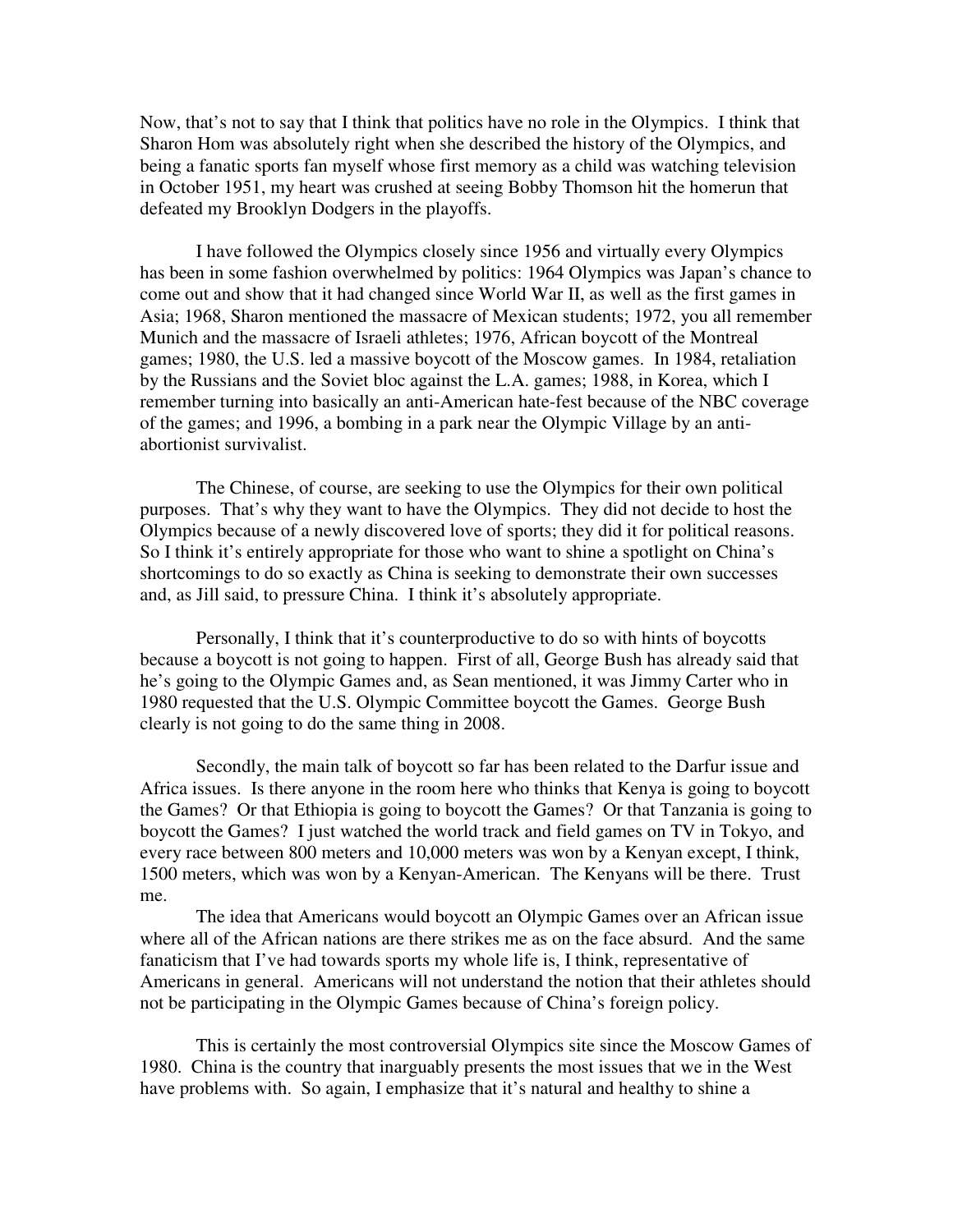Now, that's not to say that I think that politics have no role in the Olympics. I think that Sharon Hom was absolutely right when she described the history of the Olympics, and being a fanatic sports fan myself whose first memory as a child was watching television in October 1951, my heart was crushed at seeing Bobby Thomson hit the homerun that defeated my Brooklyn Dodgers in the playoffs.

I have followed the Olympics closely since 1956 and virtually every Olympics has been in some fashion overwhelmed by politics: 1964 Olympics was Japan's chance to come out and show that it had changed since World War II, as well as the first games in Asia; 1968, Sharon mentioned the massacre of Mexican students; 1972, you all remember Munich and the massacre of Israeli athletes; 1976, African boycott of the Montreal games; 1980, the U.S. led a massive boycott of the Moscow games. In 1984, retaliation by the Russians and the Soviet bloc against the L.A. games; 1988, in Korea, which I remember turning into basically an anti-American hate-fest because of the NBC coverage of the games; and 1996, a bombing in a park near the Olympic Village by an antiabortionist survivalist.

The Chinese, of course, are seeking to use the Olympics for their own political purposes. That's why they want to have the Olympics. They did not decide to host the Olympics because of a newly discovered love of sports; they did it for political reasons. So I think it's entirely appropriate for those who want to shine a spotlight on China's shortcomings to do so exactly as China is seeking to demonstrate their own successes and, as Jill said, to pressure China. I think it's absolutely appropriate.

Personally, I think that it's counterproductive to do so with hints of boycotts because a boycott is not going to happen. First of all, George Bush has already said that he's going to the Olympic Games and, as Sean mentioned, it was Jimmy Carter who in 1980 requested that the U.S. Olympic Committee boycott the Games. George Bush clearly is not going to do the same thing in 2008.

Secondly, the main talk of boycott so far has been related to the Darfur issue and Africa issues. Is there anyone in the room here who thinks that Kenya is going to boycott the Games? Or that Ethiopia is going to boycott the Games? Or that Tanzania is going to boycott the Games? I just watched the world track and field games on TV in Tokyo, and every race between 800 meters and 10,000 meters was won by a Kenyan except, I think, 1500 meters, which was won by a Kenyan-American. The Kenyans will be there. Trust me.

The idea that Americans would boycott an Olympic Games over an African issue where all of the African nations are there strikes me as on the face absurd. And the same fanaticism that I've had towards sports my whole life is, I think, representative of Americans in general. Americans will not understand the notion that their athletes should not be participating in the Olympic Games because of China's foreign policy.

This is certainly the most controversial Olympics site since the Moscow Games of 1980. China is the country that inarguably presents the most issues that we in the West have problems with. So again, I emphasize that it's natural and healthy to shine a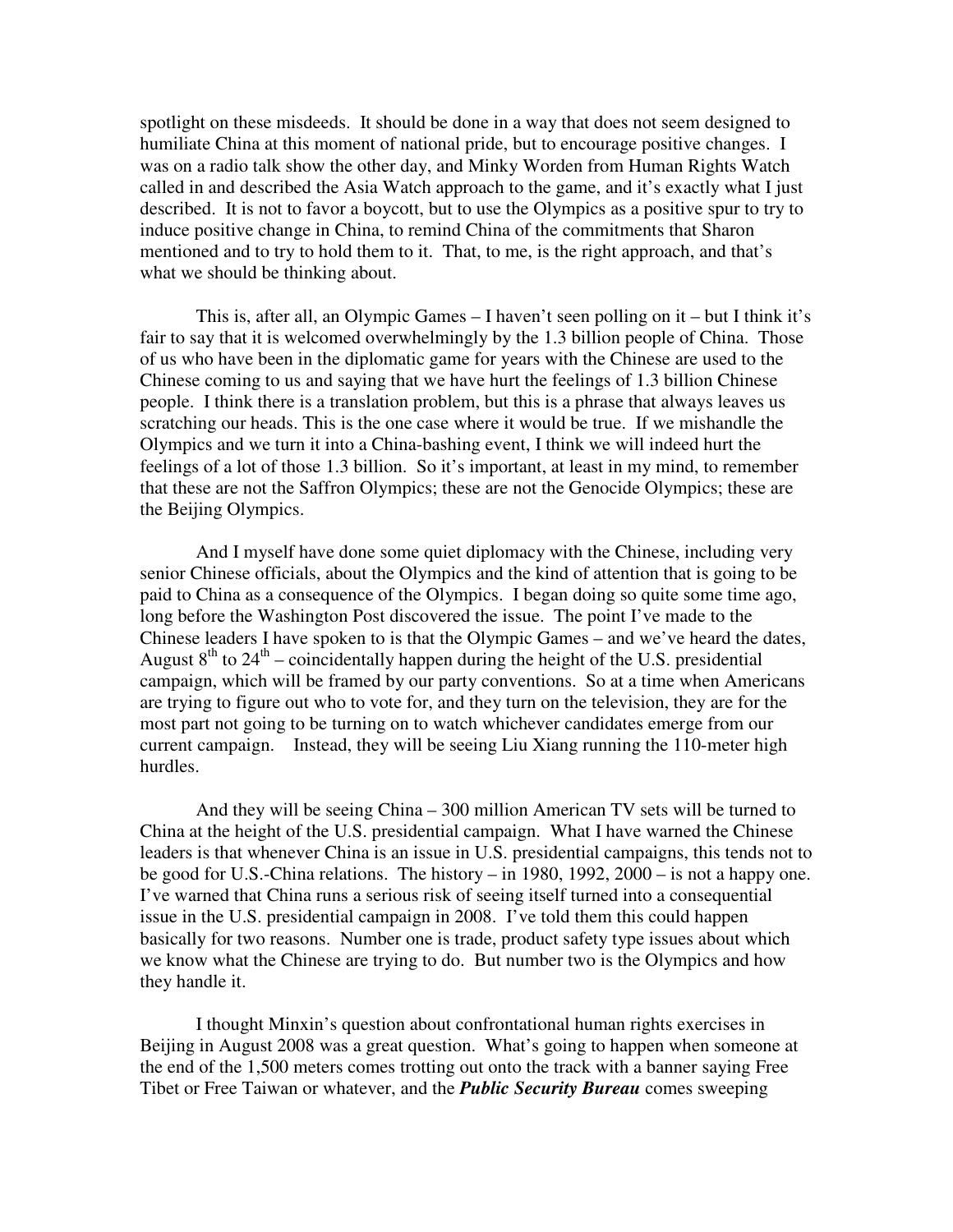spotlight on these misdeeds. It should be done in a way that does not seem designed to humiliate China at this moment of national pride, but to encourage positive changes. I was on a radio talk show the other day, and Minky Worden from Human Rights Watch called in and described the Asia Watch approach to the game, and it's exactly what I just described. It is not to favor a boycott, but to use the Olympics as a positive spur to try to induce positive change in China, to remind China of the commitments that Sharon mentioned and to try to hold them to it. That, to me, is the right approach, and that's what we should be thinking about.

This is, after all, an Olympic Games – I haven't seen polling on it – but I think it's fair to say that it is welcomed overwhelmingly by the 1.3 billion people of China. Those of us who have been in the diplomatic game for years with the Chinese are used to the Chinese coming to us and saying that we have hurt the feelings of 1.3 billion Chinese people. I think there is a translation problem, but this is a phrase that always leaves us scratching our heads. This is the one case where it would be true. If we mishandle the Olympics and we turn it into a China-bashing event, I think we will indeed hurt the feelings of a lot of those 1.3 billion. So it's important, at least in my mind, to remember that these are not the Saffron Olympics; these are not the Genocide Olympics; these are the Beijing Olympics.

And I myself have done some quiet diplomacy with the Chinese, including very senior Chinese officials, about the Olympics and the kind of attention that is going to be paid to China as a consequence of the Olympics. I began doing so quite some time ago, long before the Washington Post discovered the issue. The point I've made to the Chinese leaders I have spoken to is that the Olympic Games – and we've heard the dates, August  $8<sup>th</sup>$  to  $24<sup>th</sup>$  – coincidentally happen during the height of the U.S. presidential campaign, which will be framed by our party conventions. So at a time when Americans are trying to figure out who to vote for, and they turn on the television, they are for the most part not going to be turning on to watch whichever candidates emerge from our current campaign. Instead, they will be seeing Liu Xiang running the 110-meter high hurdles.

And they will be seeing China – 300 million American TV sets will be turned to China at the height of the U.S. presidential campaign. What I have warned the Chinese leaders is that whenever China is an issue in U.S. presidential campaigns, this tends not to be good for U.S.-China relations. The history – in 1980, 1992, 2000 – is not a happy one. I've warned that China runs a serious risk of seeing itself turned into a consequential issue in the U.S. presidential campaign in 2008. I've told them this could happen basically for two reasons. Number one is trade, product safety type issues about which we know what the Chinese are trying to do. But number two is the Olympics and how they handle it.

I thought Minxin's question about confrontational human rights exercises in Beijing in August 2008 was a great question. What's going to happen when someone at the end of the 1,500 meters comes trotting out onto the track with a banner saying Free Tibet or Free Taiwan or whatever, and the *Public Security Bureau* comes sweeping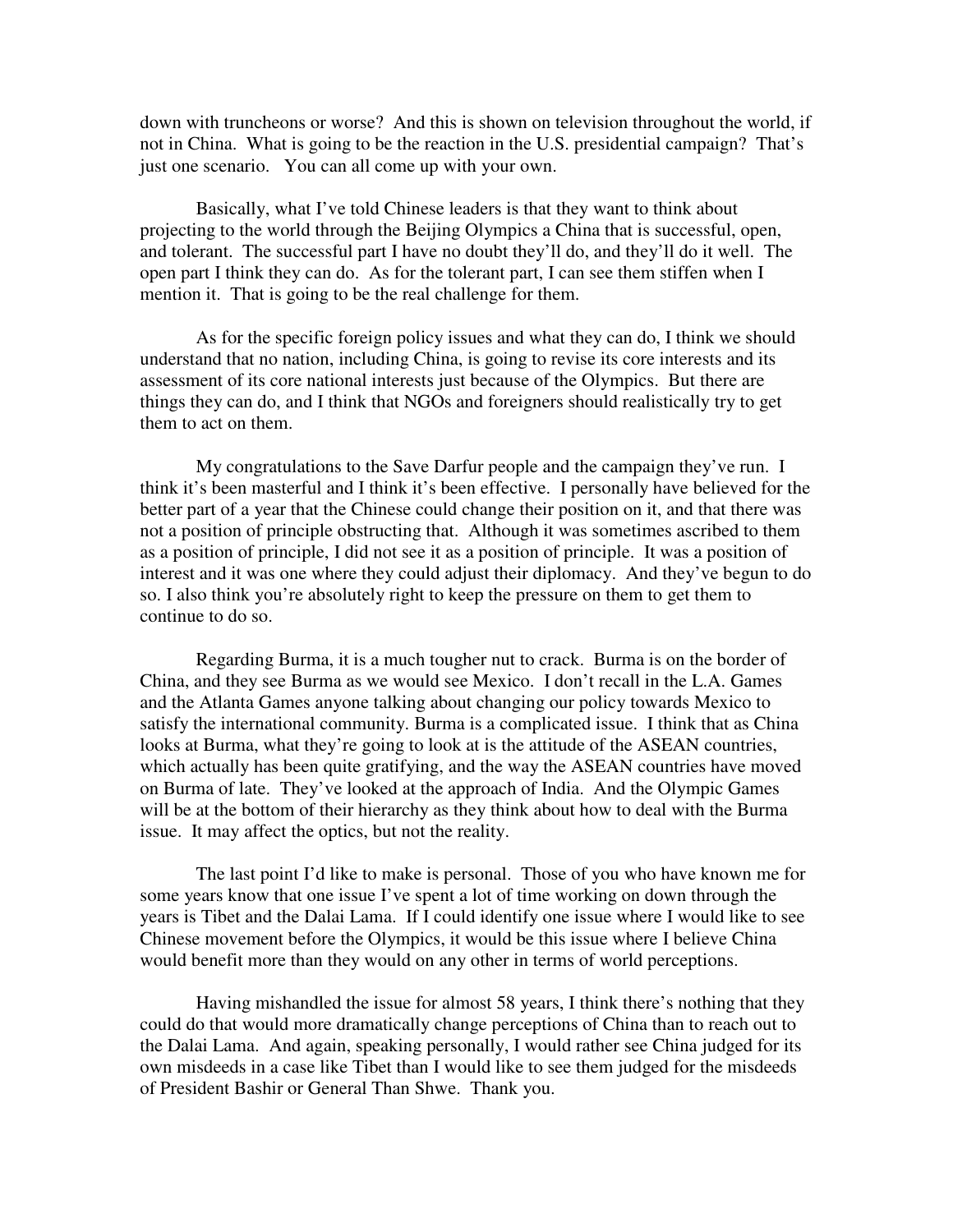down with truncheons or worse? And this is shown on television throughout the world, if not in China. What is going to be the reaction in the U.S. presidential campaign? That's just one scenario. You can all come up with your own.

Basically, what I've told Chinese leaders is that they want to think about projecting to the world through the Beijing Olympics a China that is successful, open, and tolerant. The successful part I have no doubt they'll do, and they'll do it well. The open part I think they can do. As for the tolerant part, I can see them stiffen when I mention it. That is going to be the real challenge for them.

As for the specific foreign policy issues and what they can do, I think we should understand that no nation, including China, is going to revise its core interests and its assessment of its core national interests just because of the Olympics. But there are things they can do, and I think that NGOs and foreigners should realistically try to get them to act on them.

My congratulations to the Save Darfur people and the campaign they've run. I think it's been masterful and I think it's been effective. I personally have believed for the better part of a year that the Chinese could change their position on it, and that there was not a position of principle obstructing that. Although it was sometimes ascribed to them as a position of principle, I did not see it as a position of principle. It was a position of interest and it was one where they could adjust their diplomacy. And they've begun to do so. I also think you're absolutely right to keep the pressure on them to get them to continue to do so.

Regarding Burma, it is a much tougher nut to crack. Burma is on the border of China, and they see Burma as we would see Mexico. I don't recall in the L.A. Games and the Atlanta Games anyone talking about changing our policy towards Mexico to satisfy the international community. Burma is a complicated issue. I think that as China looks at Burma, what they're going to look at is the attitude of the ASEAN countries, which actually has been quite gratifying, and the way the ASEAN countries have moved on Burma of late. They've looked at the approach of India. And the Olympic Games will be at the bottom of their hierarchy as they think about how to deal with the Burma issue. It may affect the optics, but not the reality.

The last point I'd like to make is personal. Those of you who have known me for some years know that one issue I've spent a lot of time working on down through the years is Tibet and the Dalai Lama. If I could identify one issue where I would like to see Chinese movement before the Olympics, it would be this issue where I believe China would benefit more than they would on any other in terms of world perceptions.

Having mishandled the issue for almost 58 years, I think there's nothing that they could do that would more dramatically change perceptions of China than to reach out to the Dalai Lama. And again, speaking personally, I would rather see China judged for its own misdeeds in a case like Tibet than I would like to see them judged for the misdeeds of President Bashir or General Than Shwe. Thank you.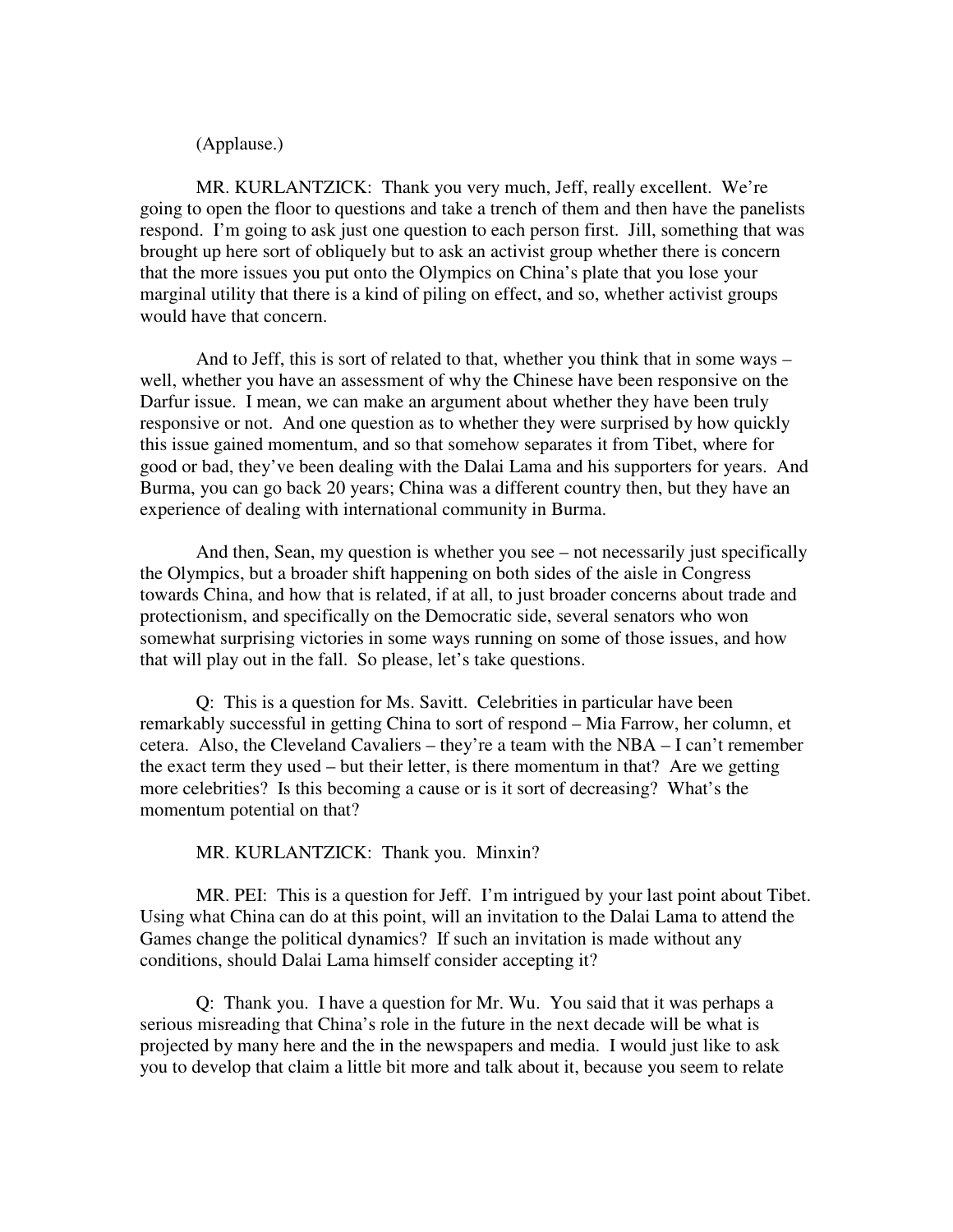(Applause.)

MR. KURLANTZICK: Thank you very much, Jeff, really excellent. We're going to open the floor to questions and take a trench of them and then have the panelists respond. I'm going to ask just one question to each person first. Jill, something that was brought up here sort of obliquely but to ask an activist group whether there is concern that the more issues you put onto the Olympics on China's plate that you lose your marginal utility that there is a kind of piling on effect, and so, whether activist groups would have that concern.

And to Jeff, this is sort of related to that, whether you think that in some ways – well, whether you have an assessment of why the Chinese have been responsive on the Darfur issue. I mean, we can make an argument about whether they have been truly responsive or not. And one question as to whether they were surprised by how quickly this issue gained momentum, and so that somehow separates it from Tibet, where for good or bad, they've been dealing with the Dalai Lama and his supporters for years. And Burma, you can go back 20 years; China was a different country then, but they have an experience of dealing with international community in Burma.

And then, Sean, my question is whether you see – not necessarily just specifically the Olympics, but a broader shift happening on both sides of the aisle in Congress towards China, and how that is related, if at all, to just broader concerns about trade and protectionism, and specifically on the Democratic side, several senators who won somewhat surprising victories in some ways running on some of those issues, and how that will play out in the fall. So please, let's take questions.

Q: This is a question for Ms. Savitt. Celebrities in particular have been remarkably successful in getting China to sort of respond – Mia Farrow, her column, et cetera. Also, the Cleveland Cavaliers – they're a team with the NBA – I can't remember the exact term they used – but their letter, is there momentum in that? Are we getting more celebrities? Is this becoming a cause or is it sort of decreasing? What's the momentum potential on that?

MR. KURLANTZICK: Thank you. Minxin?

MR. PEI: This is a question for Jeff. I'm intrigued by your last point about Tibet. Using what China can do at this point, will an invitation to the Dalai Lama to attend the Games change the political dynamics? If such an invitation is made without any conditions, should Dalai Lama himself consider accepting it?

Q: Thank you. I have a question for Mr. Wu. You said that it was perhaps a serious misreading that China's role in the future in the next decade will be what is projected by many here and the in the newspapers and media. I would just like to ask you to develop that claim a little bit more and talk about it, because you seem to relate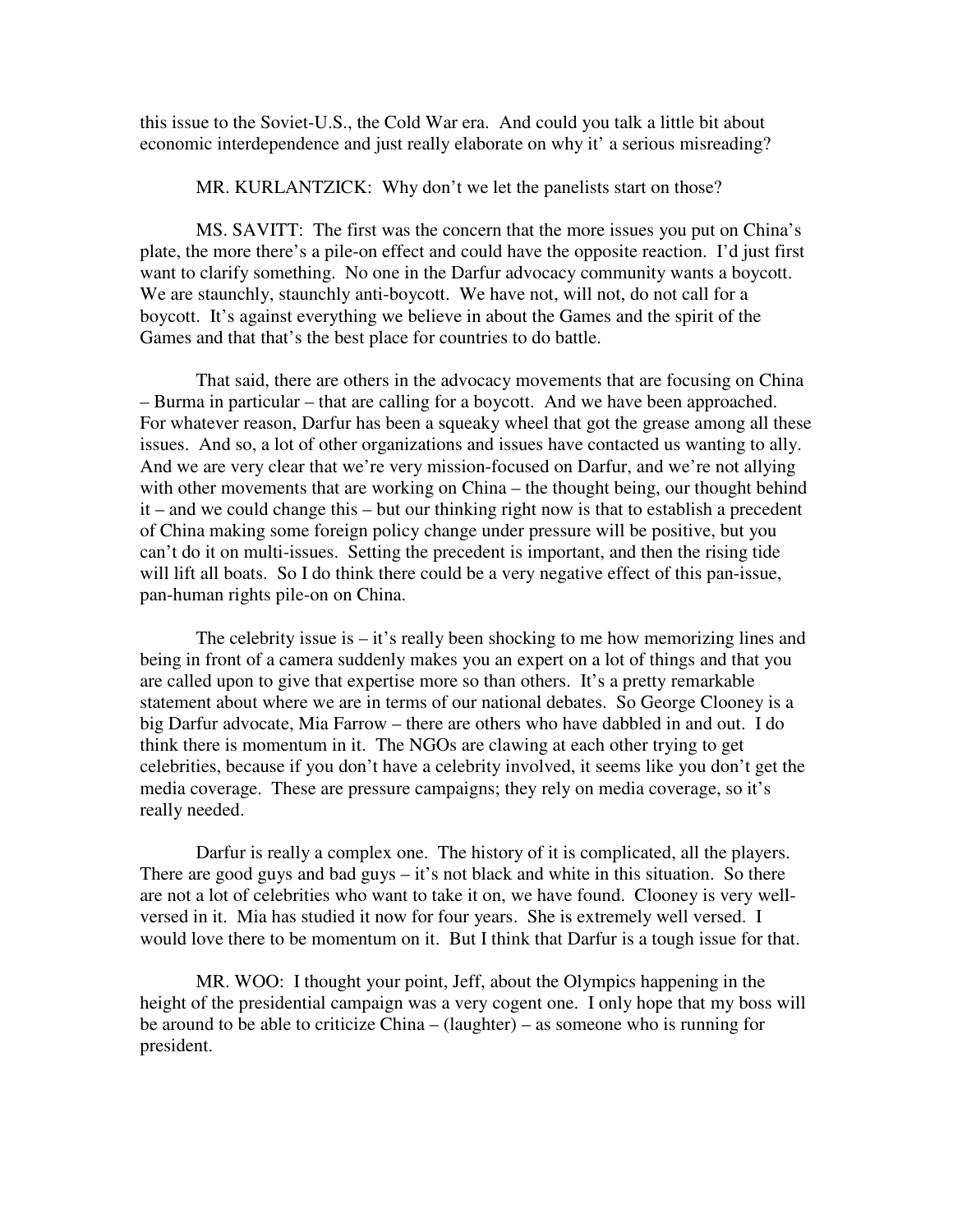this issue to the Soviet-U.S., the Cold War era. And could you talk a little bit about economic interdependence and just really elaborate on why it' a serious misreading?

MR. KURLANTZICK: Why don't we let the panelists start on those?

MS. SAVITT: The first was the concern that the more issues you put on China's plate, the more there's a pile-on effect and could have the opposite reaction. I'd just first want to clarify something. No one in the Darfur advocacy community wants a boycott. We are staunchly, staunchly anti-boycott. We have not, will not, do not call for a boycott. It's against everything we believe in about the Games and the spirit of the Games and that that's the best place for countries to do battle.

That said, there are others in the advocacy movements that are focusing on China – Burma in particular – that are calling for a boycott. And we have been approached. For whatever reason, Darfur has been a squeaky wheel that got the grease among all these issues. And so, a lot of other organizations and issues have contacted us wanting to ally. And we are very clear that we're very mission-focused on Darfur, and we're not allying with other movements that are working on China – the thought being, our thought behind it – and we could change this – but our thinking right now is that to establish a precedent of China making some foreign policy change under pressure will be positive, but you can't do it on multi-issues. Setting the precedent is important, and then the rising tide will lift all boats. So I do think there could be a very negative effect of this pan-issue, pan-human rights pile-on on China.

The celebrity issue is  $-$  it's really been shocking to me how memorizing lines and being in front of a camera suddenly makes you an expert on a lot of things and that you are called upon to give that expertise more so than others. It's a pretty remarkable statement about where we are in terms of our national debates. So George Clooney is a big Darfur advocate, Mia Farrow – there are others who have dabbled in and out. I do think there is momentum in it. The NGOs are clawing at each other trying to get celebrities, because if you don't have a celebrity involved, it seems like you don't get the media coverage. These are pressure campaigns; they rely on media coverage, so it's really needed.

Darfur is really a complex one. The history of it is complicated, all the players. There are good guys and bad guys  $-$  it's not black and white in this situation. So there are not a lot of celebrities who want to take it on, we have found. Clooney is very wellversed in it. Mia has studied it now for four years. She is extremely well versed. I would love there to be momentum on it. But I think that Darfur is a tough issue for that.

MR. WOO: I thought your point, Jeff, about the Olympics happening in the height of the presidential campaign was a very cogent one. I only hope that my boss will be around to be able to criticize China – (laughter) – as someone who is running for president.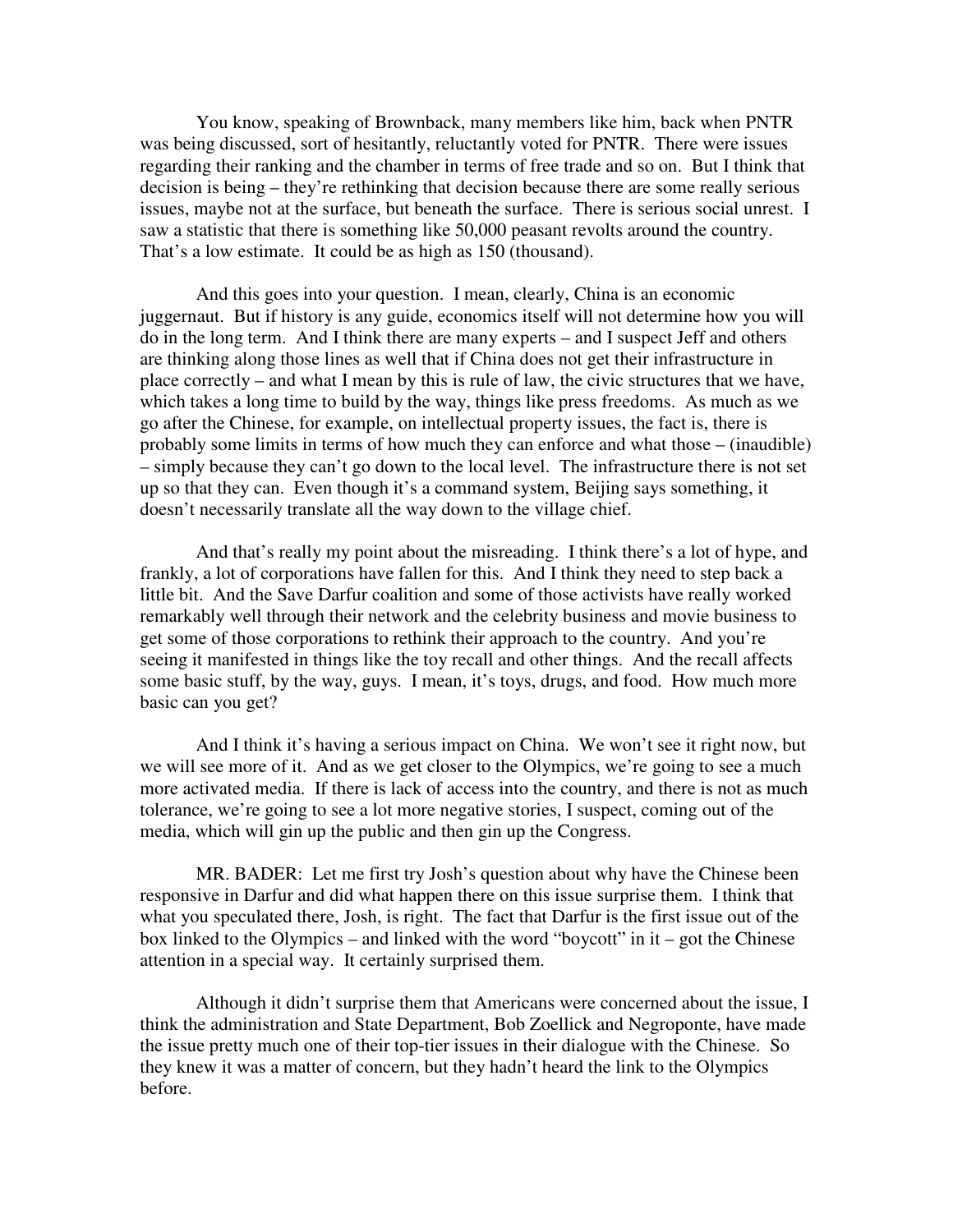You know, speaking of Brownback, many members like him, back when PNTR was being discussed, sort of hesitantly, reluctantly voted for PNTR. There were issues regarding their ranking and the chamber in terms of free trade and so on. But I think that decision is being – they're rethinking that decision because there are some really serious issues, maybe not at the surface, but beneath the surface. There is serious social unrest. I saw a statistic that there is something like 50,000 peasant revolts around the country. That's a low estimate. It could be as high as 150 (thousand).

And this goes into your question. I mean, clearly, China is an economic juggernaut. But if history is any guide, economics itself will not determine how you will do in the long term. And I think there are many experts – and I suspect Jeff and others are thinking along those lines as well that if China does not get their infrastructure in place correctly – and what I mean by this is rule of law, the civic structures that we have, which takes a long time to build by the way, things like press freedoms. As much as we go after the Chinese, for example, on intellectual property issues, the fact is, there is probably some limits in terms of how much they can enforce and what those – (inaudible) – simply because they can't go down to the local level. The infrastructure there is not set up so that they can. Even though it's a command system, Beijing says something, it doesn't necessarily translate all the way down to the village chief.

And that's really my point about the misreading. I think there's a lot of hype, and frankly, a lot of corporations have fallen for this. And I think they need to step back a little bit. And the Save Darfur coalition and some of those activists have really worked remarkably well through their network and the celebrity business and movie business to get some of those corporations to rethink their approach to the country. And you're seeing it manifested in things like the toy recall and other things. And the recall affects some basic stuff, by the way, guys. I mean, it's toys, drugs, and food. How much more basic can you get?

And I think it's having a serious impact on China. We won't see it right now, but we will see more of it. And as we get closer to the Olympics, we're going to see a much more activated media. If there is lack of access into the country, and there is not as much tolerance, we're going to see a lot more negative stories, I suspect, coming out of the media, which will gin up the public and then gin up the Congress.

MR. BADER: Let me first try Josh's question about why have the Chinese been responsive in Darfur and did what happen there on this issue surprise them. I think that what you speculated there, Josh, is right. The fact that Darfur is the first issue out of the box linked to the Olympics – and linked with the word "boycott" in  $it - got$  the Chinese attention in a special way. It certainly surprised them.

Although it didn't surprise them that Americans were concerned about the issue, I think the administration and State Department, Bob Zoellick and Negroponte, have made the issue pretty much one of their top-tier issues in their dialogue with the Chinese. So they knew it was a matter of concern, but they hadn't heard the link to the Olympics before.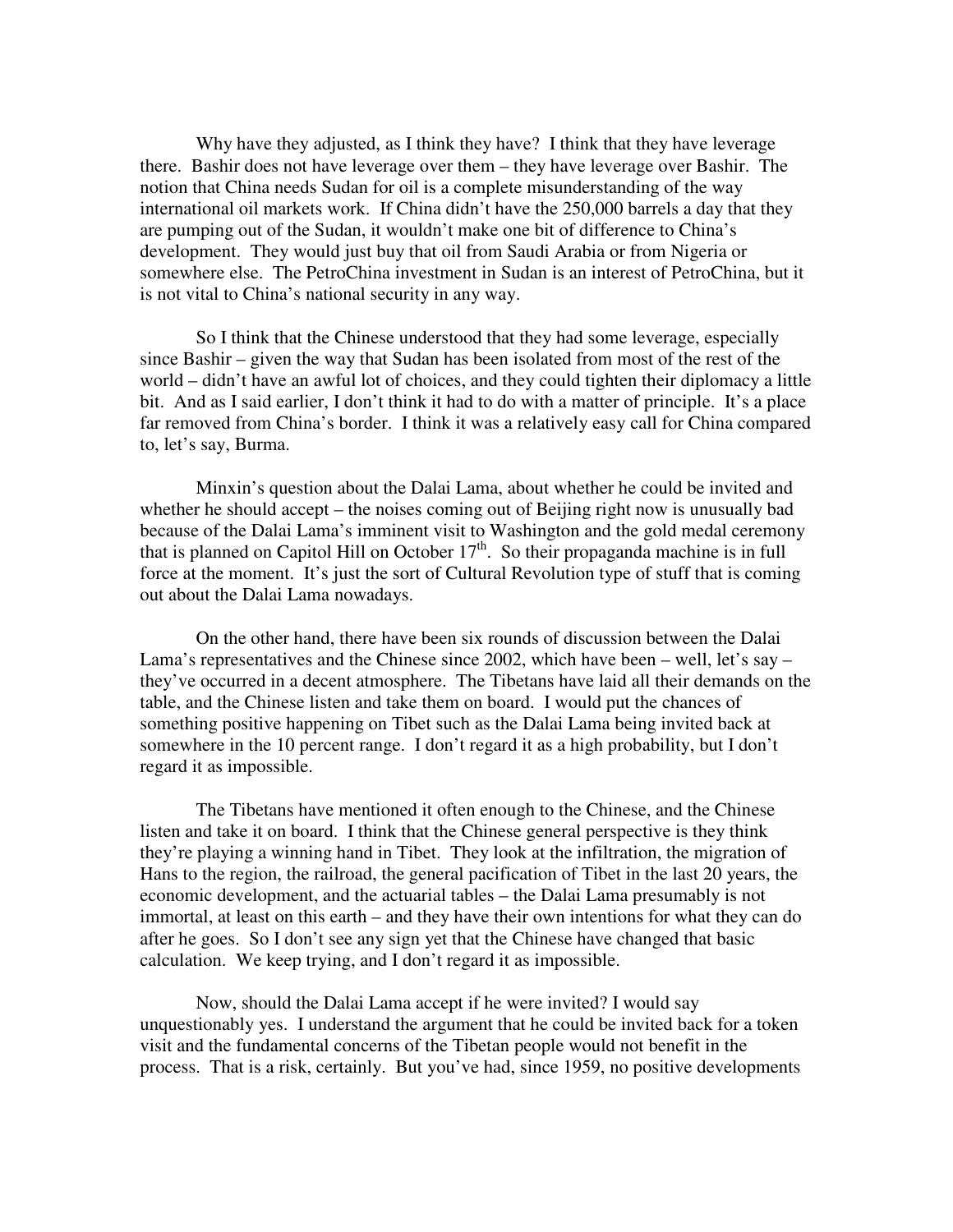Why have they adjusted, as I think they have? I think that they have leverage there. Bashir does not have leverage over them – they have leverage over Bashir. The notion that China needs Sudan for oil is a complete misunderstanding of the way international oil markets work. If China didn't have the 250,000 barrels a day that they are pumping out of the Sudan, it wouldn't make one bit of difference to China's development. They would just buy that oil from Saudi Arabia or from Nigeria or somewhere else. The PetroChina investment in Sudan is an interest of PetroChina, but it is not vital to China's national security in any way.

So I think that the Chinese understood that they had some leverage, especially since Bashir – given the way that Sudan has been isolated from most of the rest of the world – didn't have an awful lot of choices, and they could tighten their diplomacy a little bit. And as I said earlier, I don't think it had to do with a matter of principle. It's a place far removed from China's border. I think it was a relatively easy call for China compared to, let's say, Burma.

Minxin's question about the Dalai Lama, about whether he could be invited and whether he should accept – the noises coming out of Beijing right now is unusually bad because of the Dalai Lama's imminent visit to Washington and the gold medal ceremony that is planned on Capitol Hill on October  $17<sup>th</sup>$ . So their propaganda machine is in full force at the moment. It's just the sort of Cultural Revolution type of stuff that is coming out about the Dalai Lama nowadays.

On the other hand, there have been six rounds of discussion between the Dalai Lama's representatives and the Chinese since 2002, which have been – well, let's say – they've occurred in a decent atmosphere. The Tibetans have laid all their demands on the table, and the Chinese listen and take them on board. I would put the chances of something positive happening on Tibet such as the Dalai Lama being invited back at somewhere in the 10 percent range. I don't regard it as a high probability, but I don't regard it as impossible.

The Tibetans have mentioned it often enough to the Chinese, and the Chinese listen and take it on board. I think that the Chinese general perspective is they think they're playing a winning hand in Tibet. They look at the infiltration, the migration of Hans to the region, the railroad, the general pacification of Tibet in the last 20 years, the economic development, and the actuarial tables – the Dalai Lama presumably is not immortal, at least on this earth – and they have their own intentions for what they can do after he goes. So I don't see any sign yet that the Chinese have changed that basic calculation. We keep trying, and I don't regard it as impossible.

Now, should the Dalai Lama accept if he were invited? I would say unquestionably yes. I understand the argument that he could be invited back for a token visit and the fundamental concerns of the Tibetan people would not benefit in the process. That is a risk, certainly. But you've had, since 1959, no positive developments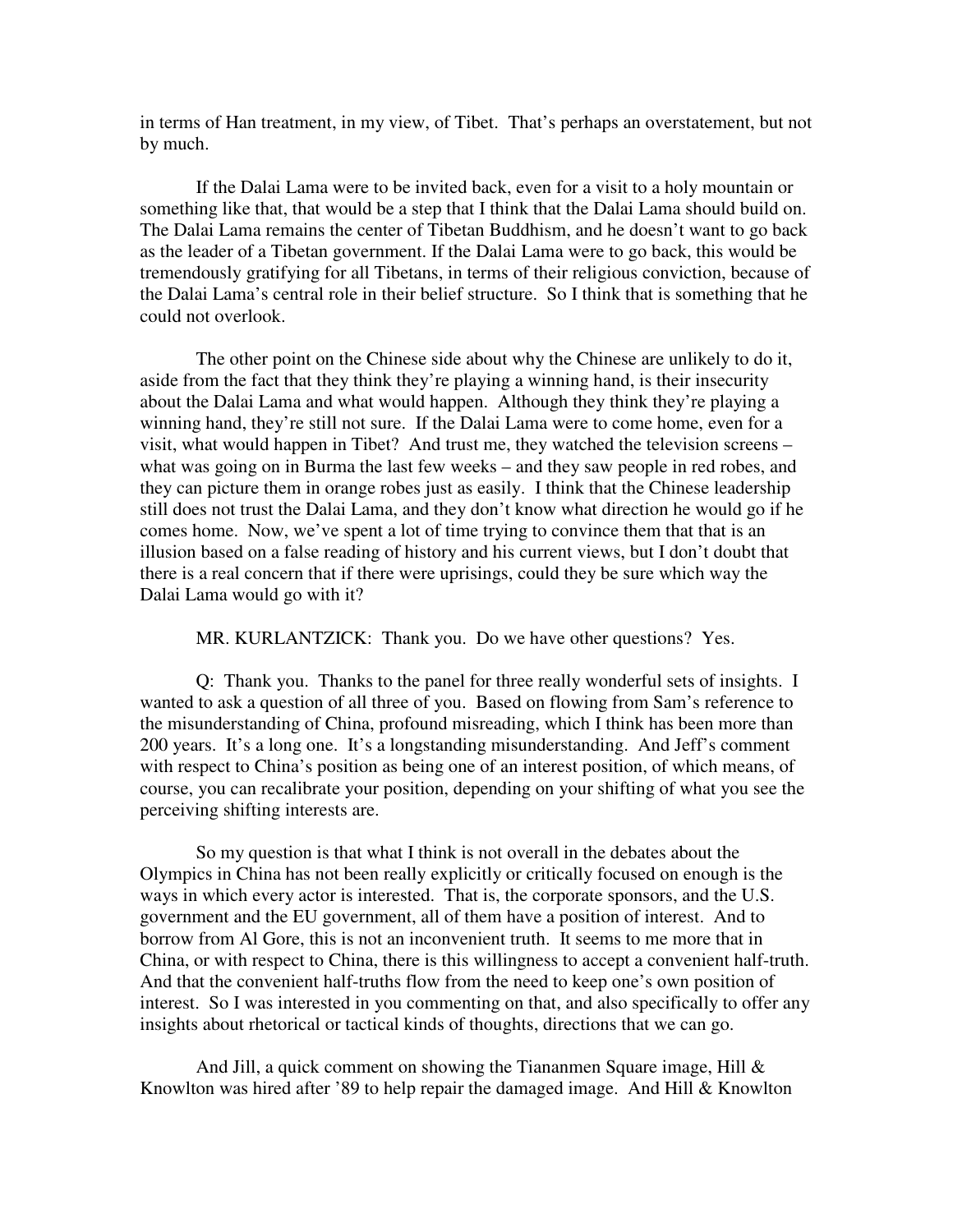in terms of Han treatment, in my view, of Tibet. That's perhaps an overstatement, but not by much.

If the Dalai Lama were to be invited back, even for a visit to a holy mountain or something like that, that would be a step that I think that the Dalai Lama should build on. The Dalai Lama remains the center of Tibetan Buddhism, and he doesn't want to go back as the leader of a Tibetan government. If the Dalai Lama were to go back, this would be tremendously gratifying for all Tibetans, in terms of their religious conviction, because of the Dalai Lama's central role in their belief structure. So I think that is something that he could not overlook.

The other point on the Chinese side about why the Chinese are unlikely to do it, aside from the fact that they think they're playing a winning hand, is their insecurity about the Dalai Lama and what would happen. Although they think they're playing a winning hand, they're still not sure. If the Dalai Lama were to come home, even for a visit, what would happen in Tibet? And trust me, they watched the television screens – what was going on in Burma the last few weeks – and they saw people in red robes, and they can picture them in orange robes just as easily. I think that the Chinese leadership still does not trust the Dalai Lama, and they don't know what direction he would go if he comes home. Now, we've spent a lot of time trying to convince them that that is an illusion based on a false reading of history and his current views, but I don't doubt that there is a real concern that if there were uprisings, could they be sure which way the Dalai Lama would go with it?

MR. KURLANTZICK: Thank you. Do we have other questions? Yes.

Q: Thank you. Thanks to the panel for three really wonderful sets of insights. I wanted to ask a question of all three of you. Based on flowing from Sam's reference to the misunderstanding of China, profound misreading, which I think has been more than 200 years. It's a long one. It's a longstanding misunderstanding. And Jeff's comment with respect to China's position as being one of an interest position, of which means, of course, you can recalibrate your position, depending on your shifting of what you see the perceiving shifting interests are.

So my question is that what I think is not overall in the debates about the Olympics in China has not been really explicitly or critically focused on enough is the ways in which every actor is interested. That is, the corporate sponsors, and the U.S. government and the EU government, all of them have a position of interest. And to borrow from Al Gore, this is not an inconvenient truth. It seems to me more that in China, or with respect to China, there is this willingness to accept a convenient half-truth. And that the convenient half-truths flow from the need to keep one's own position of interest. So I was interested in you commenting on that, and also specifically to offer any insights about rhetorical or tactical kinds of thoughts, directions that we can go.

And Jill, a quick comment on showing the Tiananmen Square image, Hill & Knowlton was hired after '89 to help repair the damaged image. And Hill & Knowlton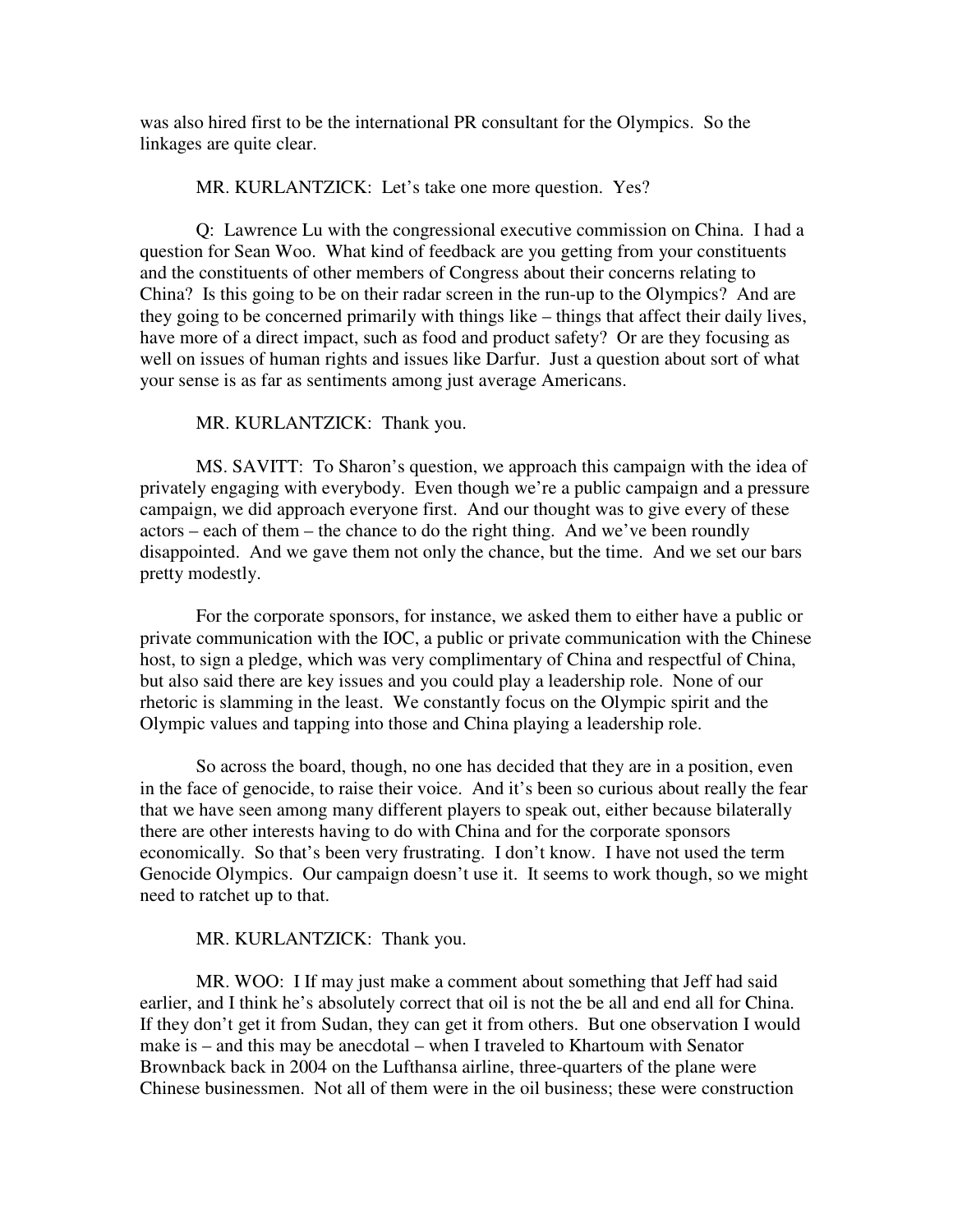was also hired first to be the international PR consultant for the Olympics. So the linkages are quite clear.

#### MR. KURLANTZICK: Let's take one more question. Yes?

Q: Lawrence Lu with the congressional executive commission on China. I had a question for Sean Woo. What kind of feedback are you getting from your constituents and the constituents of other members of Congress about their concerns relating to China? Is this going to be on their radar screen in the run-up to the Olympics? And are they going to be concerned primarily with things like – things that affect their daily lives, have more of a direct impact, such as food and product safety? Or are they focusing as well on issues of human rights and issues like Darfur. Just a question about sort of what your sense is as far as sentiments among just average Americans.

#### MR. KURLANTZICK: Thank you.

MS. SAVITT: To Sharon's question, we approach this campaign with the idea of privately engaging with everybody. Even though we're a public campaign and a pressure campaign, we did approach everyone first. And our thought was to give every of these actors – each of them – the chance to do the right thing. And we've been roundly disappointed. And we gave them not only the chance, but the time. And we set our bars pretty modestly.

For the corporate sponsors, for instance, we asked them to either have a public or private communication with the IOC, a public or private communication with the Chinese host, to sign a pledge, which was very complimentary of China and respectful of China, but also said there are key issues and you could play a leadership role. None of our rhetoric is slamming in the least. We constantly focus on the Olympic spirit and the Olympic values and tapping into those and China playing a leadership role.

So across the board, though, no one has decided that they are in a position, even in the face of genocide, to raise their voice. And it's been so curious about really the fear that we have seen among many different players to speak out, either because bilaterally there are other interests having to do with China and for the corporate sponsors economically. So that's been very frustrating. I don't know. I have not used the term Genocide Olympics. Our campaign doesn't use it. It seems to work though, so we might need to ratchet up to that.

#### MR. KURLANTZICK: Thank you.

MR. WOO: I If may just make a comment about something that Jeff had said earlier, and I think he's absolutely correct that oil is not the be all and end all for China. If they don't get it from Sudan, they can get it from others. But one observation I would make is – and this may be anecdotal – when I traveled to Khartoum with Senator Brownback back in 2004 on the Lufthansa airline, three-quarters of the plane were Chinese businessmen. Not all of them were in the oil business; these were construction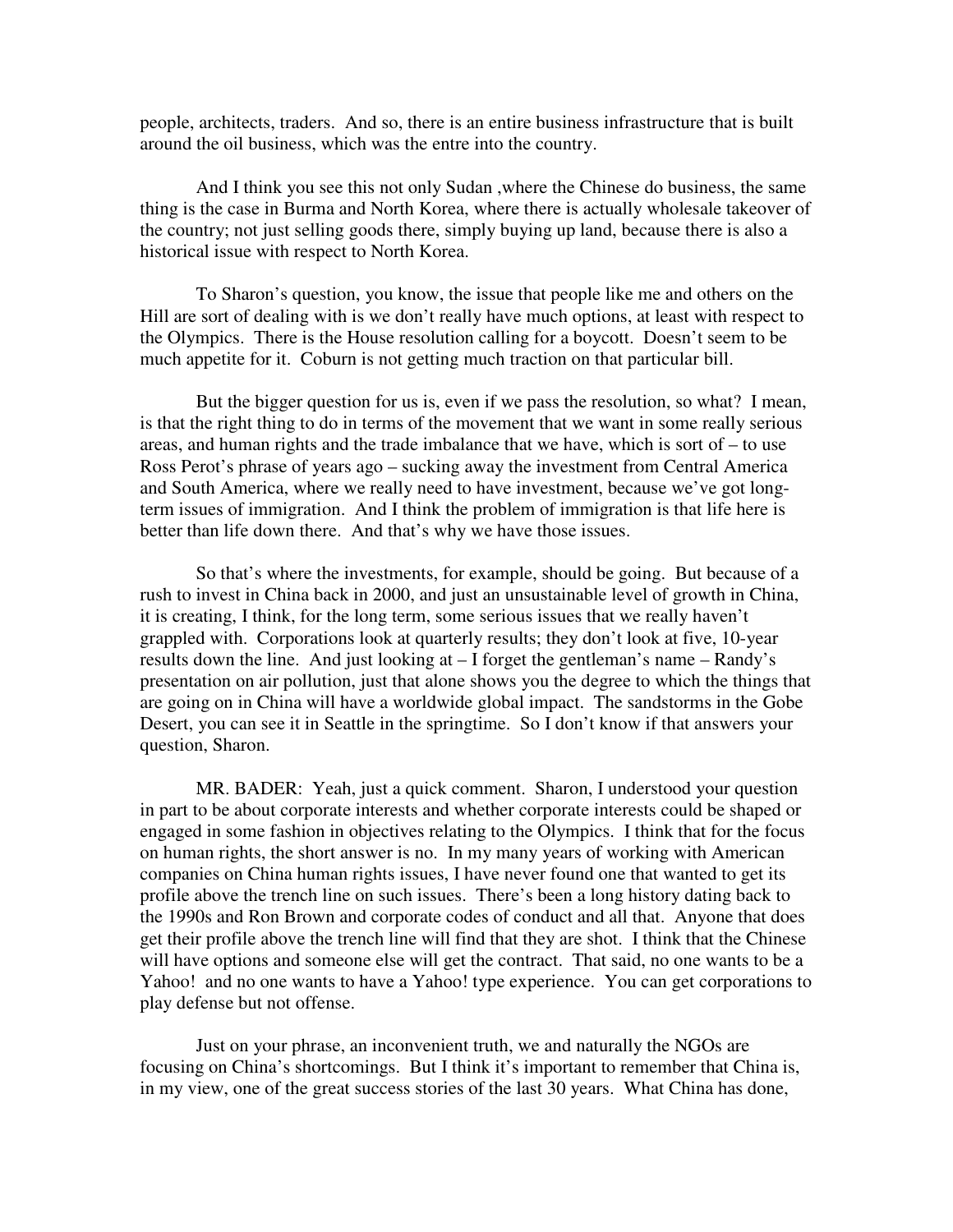people, architects, traders. And so, there is an entire business infrastructure that is built around the oil business, which was the entre into the country.

And I think you see this not only Sudan ,where the Chinese do business, the same thing is the case in Burma and North Korea, where there is actually wholesale takeover of the country; not just selling goods there, simply buying up land, because there is also a historical issue with respect to North Korea.

To Sharon's question, you know, the issue that people like me and others on the Hill are sort of dealing with is we don't really have much options, at least with respect to the Olympics. There is the House resolution calling for a boycott. Doesn't seem to be much appetite for it. Coburn is not getting much traction on that particular bill.

But the bigger question for us is, even if we pass the resolution, so what? I mean, is that the right thing to do in terms of the movement that we want in some really serious areas, and human rights and the trade imbalance that we have, which is sort of – to use Ross Perot's phrase of years ago – sucking away the investment from Central America and South America, where we really need to have investment, because we've got longterm issues of immigration. And I think the problem of immigration is that life here is better than life down there. And that's why we have those issues.

So that's where the investments, for example, should be going. But because of a rush to invest in China back in 2000, and just an unsustainable level of growth in China, it is creating, I think, for the long term, some serious issues that we really haven't grappled with. Corporations look at quarterly results; they don't look at five, 10-year results down the line. And just looking at – I forget the gentleman's name – Randy's presentation on air pollution, just that alone shows you the degree to which the things that are going on in China will have a worldwide global impact. The sandstorms in the Gobe Desert, you can see it in Seattle in the springtime. So I don't know if that answers your question, Sharon.

MR. BADER: Yeah, just a quick comment. Sharon, I understood your question in part to be about corporate interests and whether corporate interests could be shaped or engaged in some fashion in objectives relating to the Olympics. I think that for the focus on human rights, the short answer is no. In my many years of working with American companies on China human rights issues, I have never found one that wanted to get its profile above the trench line on such issues. There's been a long history dating back to the 1990s and Ron Brown and corporate codes of conduct and all that. Anyone that does get their profile above the trench line will find that they are shot. I think that the Chinese will have options and someone else will get the contract. That said, no one wants to be a Yahoo! and no one wants to have a Yahoo! type experience. You can get corporations to play defense but not offense.

Just on your phrase, an inconvenient truth, we and naturally the NGOs are focusing on China's shortcomings. But I think it's important to remember that China is, in my view, one of the great success stories of the last 30 years. What China has done,